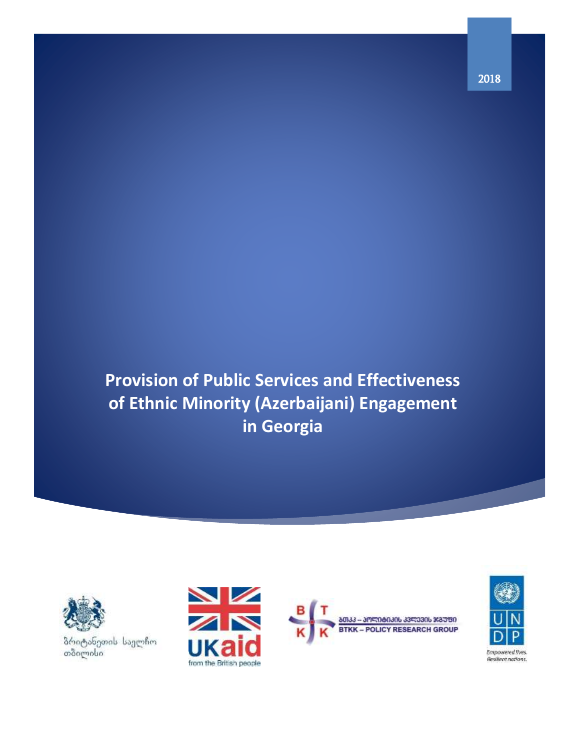**Provision of Public Services and Effectiveness of Ethnic Minority (Azerbaijani) Engagement in Georgia**



ბრიტანეთის საელჩო<br>თბილისი





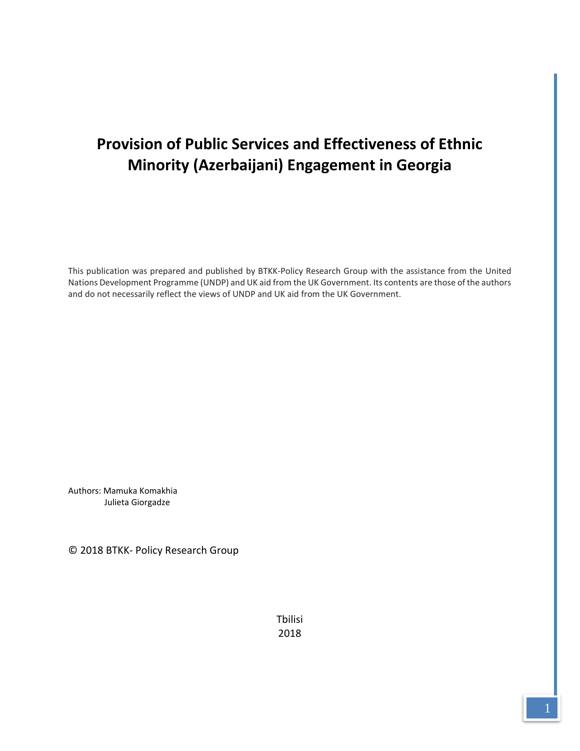# **Provision of Public Services and Effectiveness of Ethnic Minority (Azerbaijani) Engagement in Georgia**

This publication was prepared and published by BTKK-Policy Research Group with the assistance from the United Nations Development Programme (UNDP) and UK aid from the UK Government. Its contents are those of the authors and do not necessarily reflect the views of UNDP and UK aid from the UK Government.

Authors: Mamuka Komakhia Julieta Giorgadze

© 2018 BTKK- Policy Research Group

Tbilisi 2018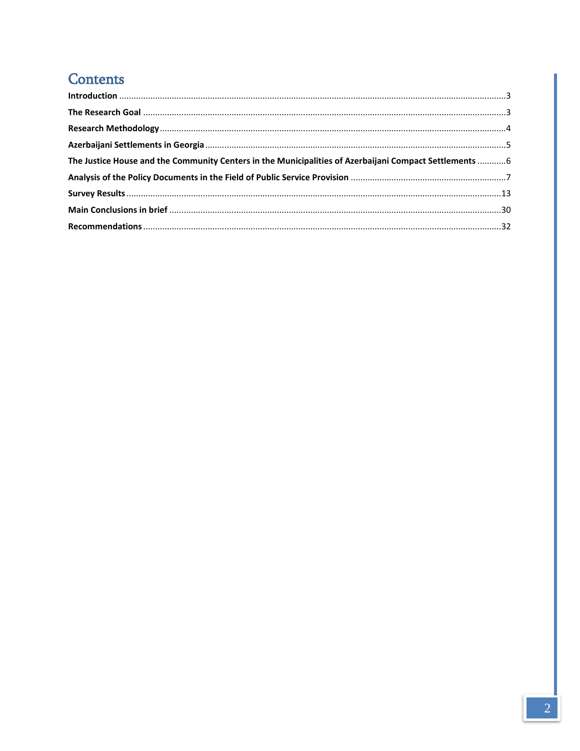# **Contents**

| The Justice House and the Community Centers in the Municipalities of Azerbaijani Compact Settlements  6 |  |
|---------------------------------------------------------------------------------------------------------|--|
|                                                                                                         |  |
|                                                                                                         |  |
|                                                                                                         |  |
|                                                                                                         |  |
|                                                                                                         |  |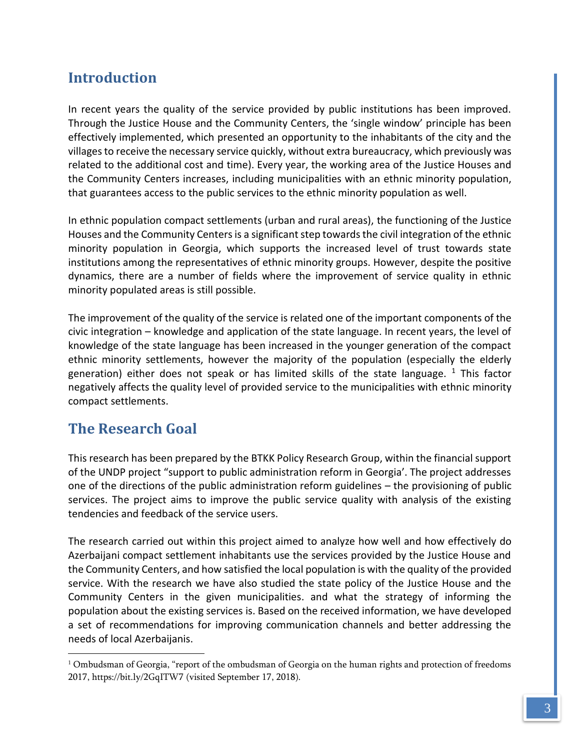# <span id="page-3-0"></span>**Introduction**

In recent years the quality of the service provided by public institutions has been improved. Through the Justice House and the Community Centers, the 'single window' principle has been effectively implemented, which presented an opportunity to the inhabitants of the city and the villages to receive the necessary service quickly, without extra bureaucracy, which previously was related to the additional cost and time). Every year, the working area of the Justice Houses and the Community Centers increases, including municipalities with an ethnic minority population, that guarantees access to the public services to the ethnic minority population as well.

In ethnic population compact settlements (urban and rural areas), the functioning of the Justice Houses and the Community Centers is a significant step towards the civil integration of the ethnic minority population in Georgia, which supports the increased level of trust towards state institutions among the representatives of ethnic minority groups. However, despite the positive dynamics, there are a number of fields where the improvement of service quality in ethnic minority populated areas is still possible.

The improvement of the quality of the service is related one of the important components of the civic integration – knowledge and application of the state language. In recent years, the level of knowledge of the state language has been increased in the younger generation of the compact ethnic minority settlements, however the majority of the population (especially the elderly generation) either does not speak or has limited skills of the state language.  $1$  This factor negatively affects the quality level of provided service to the municipalities with ethnic minority compact settlements.

# <span id="page-3-1"></span>**The Research Goal**

 $\overline{a}$ 

This research has been prepared by the BTKK Policy Research Group, within the financial support of the UNDP project "support to public administration reform in Georgia'. The project addresses one of the directions of the public administration reform guidelines – the provisioning of public services. The project aims to improve the public service quality with analysis of the existing tendencies and feedback of the service users.

The research carried out within this project aimed to analyze how well and how effectively do Azerbaijani compact settlement inhabitants use the services provided by the Justice House and the Community Centers, and how satisfied the local population is with the quality of the provided service. With the research we have also studied the state policy of the Justice House and the Community Centers in the given municipalities. and what the strategy of informing the population about the existing services is. Based on the received information, we have developed a set of recommendations for improving communication channels and better addressing the needs of local Azerbaijanis.

<sup>&</sup>lt;sup>1</sup> Ombudsman of Georgia, "report of the ombudsman of Georgia on the human rights and protection of freedoms 2017,<https://bit.ly/2GqITW7> (visited September 17, 2018).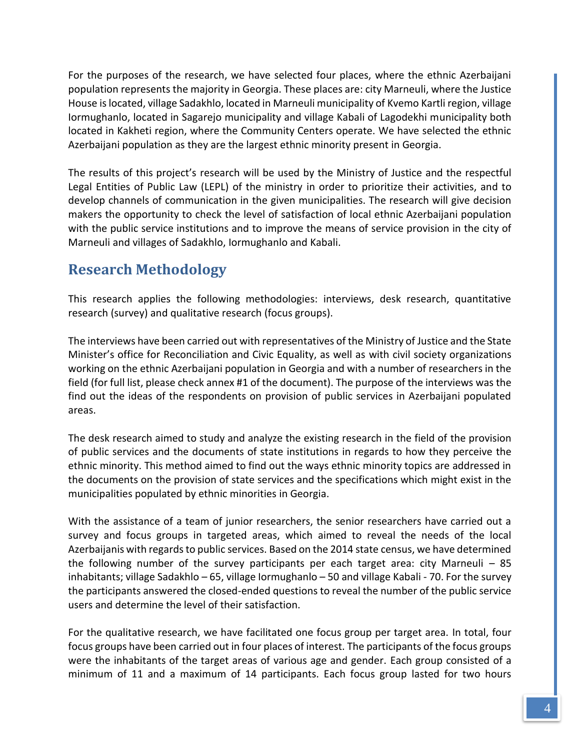For the purposes of the research, we have selected four places, where the ethnic Azerbaijani population represents the majority in Georgia. These places are: city Marneuli, where the Justice House is located, village Sadakhlo, located in Marneuli municipality of Kvemo Kartli region, village Iormughanlo, located in Sagarejo municipality and village Kabali of Lagodekhi municipality both located in Kakheti region, where the Community Centers operate. We have selected the ethnic Azerbaijani population as they are the largest ethnic minority present in Georgia.

The results of this project's research will be used by the Ministry of Justice and the respectful Legal Entities of Public Law (LEPL) of the ministry in order to prioritize their activities, and to develop channels of communication in the given municipalities. The research will give decision makers the opportunity to check the level of satisfaction of local ethnic Azerbaijani population with the public service institutions and to improve the means of service provision in the city of Marneuli and villages of Sadakhlo, Iormughanlo and Kabali.

# <span id="page-4-0"></span>**Research Methodology**

This research applies the following methodologies: interviews, desk research, quantitative research (survey) and qualitative research (focus groups).

The interviews have been carried out with representatives of the Ministry of Justice and the State Minister's office for Reconciliation and Civic Equality, as well as with civil society organizations working on the ethnic Azerbaijani population in Georgia and with a number of researchers in the field (for full list, please check annex #1 of the document). The purpose of the interviews was the find out the ideas of the respondents on provision of public services in Azerbaijani populated areas.

The desk research aimed to study and analyze the existing research in the field of the provision of public services and the documents of state institutions in regards to how they perceive the ethnic minority. This method aimed to find out the ways ethnic minority topics are addressed in the documents on the provision of state services and the specifications which might exist in the municipalities populated by ethnic minorities in Georgia.

With the assistance of a team of junior researchers, the senior researchers have carried out a survey and focus groups in targeted areas, which aimed to reveal the needs of the local Azerbaijanis with regards to public services. Based on the 2014 state census, we have determined the following number of the survey participants per each target area: city Marneuli – 85 inhabitants; village Sadakhlo – 65, village Iormughanlo – 50 and village Kabali - 70. For the survey the participants answered the closed-ended questions to reveal the number of the public service users and determine the level of their satisfaction.

For the qualitative research, we have facilitated one focus group per target area. In total, four focus groups have been carried out in four places of interest. The participants of the focus groups were the inhabitants of the target areas of various age and gender. Each group consisted of a minimum of 11 and a maximum of 14 participants. Each focus group lasted for two hours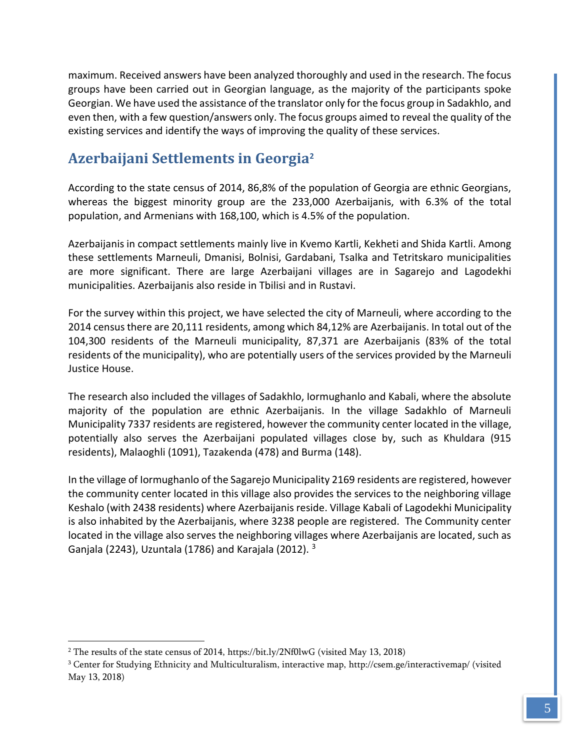maximum. Received answers have been analyzed thoroughly and used in the research. The focus groups have been carried out in Georgian language, as the majority of the participants spoke Georgian. We have used the assistance of the translator only for the focus group in Sadakhlo, and even then, with a few question/answers only. The focus groups aimed to reveal the quality of the existing services and identify the ways of improving the quality of these services.

# <span id="page-5-0"></span>**Azerbaijani Settlements in Georgia<sup>2</sup>**

According to the state census of 2014, 86,8% of the population of Georgia are ethnic Georgians, whereas the biggest minority group are the 233,000 Azerbaijanis, with 6.3% of the total population, and Armenians with 168,100, which is 4.5% of the population.

Azerbaijanis in compact settlements mainly live in Kvemo Kartli, Kekheti and Shida Kartli. Among these settlements Marneuli, Dmanisi, Bolnisi, Gardabani, Tsalka and Tetritskaro municipalities are more significant. There are large Azerbaijani villages are in Sagarejo and Lagodekhi municipalities. Azerbaijanis also reside in Tbilisi and in Rustavi.

For the survey within this project, we have selected the city of Marneuli, where according to the 2014 census there are 20,111 residents, among which 84,12% are Azerbaijanis. In total out of the 104,300 residents of the Marneuli municipality, 87,371 are Azerbaijanis (83% of the total residents of the municipality), who are potentially users of the services provided by the Marneuli Justice House.

The research also included the villages of Sadakhlo, Iormughanlo and Kabali, where the absolute majority of the population are ethnic Azerbaijanis. In the village Sadakhlo of Marneuli Municipality 7337 residents are registered, however the community center located in the village, potentially also serves the Azerbaijani populated villages close by, such as Khuldara (915 residents), Malaoghli (1091), Tazakenda (478) and Burma (148).

In the village of Iormughanlo of the Sagarejo Municipality 2169 residents are registered, however the community center located in this village also provides the services to the neighboring village Keshalo (with 2438 residents) where Azerbaijanis reside. Village Kabali of Lagodekhi Municipality is also inhabited by the Azerbaijanis, where 3238 people are registered. The Community center located in the village also serves the neighboring villages where Azerbaijanis are located, such as Ganjala (2243), Uzuntala (1786) and Karajala (2012). <sup>3</sup>

<sup>&</sup>lt;sup>2</sup> The results of the state census of 2014,<https://bit.ly/2Nf0lwG> (visited May 13, 2018)

<sup>3</sup> Center for Studying Ethnicity and Multiculturalism, interactive map,<http://csem.ge/interactivemap/> (visited May 13, 2018)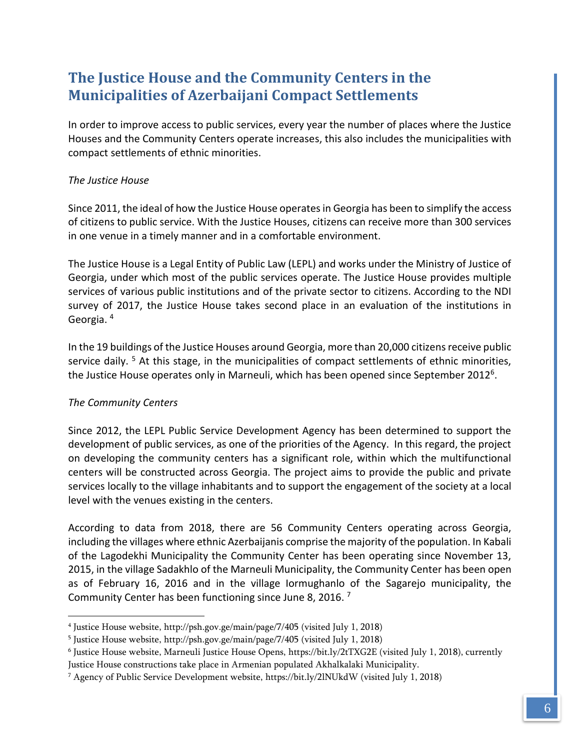# <span id="page-6-0"></span>**The Justice House and the Community Centers in the Municipalities of Azerbaijani Compact Settlements**

In order to improve access to public services, every year the number of places where the Justice Houses and the Community Centers operate increases, this also includes the municipalities with compact settlements of ethnic minorities.

# *The Justice House*

Since 2011, the ideal of how the Justice House operates in Georgia has been to simplify the access of citizens to public service. With the Justice Houses, citizens can receive more than 300 services in one venue in a timely manner and in a comfortable environment.

The Justice House is a Legal Entity of Public Law (LEPL) and works under the Ministry of Justice of Georgia, under which most of the public services operate. The Justice House provides multiple services of various public institutions and of the private sector to citizens. According to the NDI survey of 2017, the Justice House takes second place in an evaluation of the institutions in Georgia. <sup>4</sup>

In the 19 buildings of the Justice Houses around Georgia, more than 20,000 citizens receive public service daily.  $5$  At this stage, in the municipalities of compact settlements of ethnic minorities, the Justice House operates only in Marneuli, which has been opened since September 2012<sup>6</sup>.

# *The Community Centers*

 $\overline{a}$ 

Since 2012, the LEPL Public Service Development Agency has been determined to support the development of public services, as one of the priorities of the Agency. In this regard, the project on developing the community centers has a significant role, within which the multifunctional centers will be constructed across Georgia. The project aims to provide the public and private services locally to the village inhabitants and to support the engagement of the society at a local level with the venues existing in the centers.

According to data from 2018, there are 56 Community Centers operating across Georgia, including the villages where ethnic Azerbaijanis comprise the majority of the population. In Kabali of the Lagodekhi Municipality the Community Center has been operating since November 13, 2015, in the village Sadakhlo of the Marneuli Municipality, the Community Center has been open as of February 16, 2016 and in the village Iormughanlo of the Sagarejo municipality, the Community Center has been functioning since June 8, 2016. <sup>7</sup>

<sup>4</sup> Justice House website, http://psh.gov.ge/main/page/7/405 (visited July 1, 2018)

<sup>5</sup> Justice House website, http://psh.gov.ge/main/page/7/405 (visited July 1, 2018)

<sup>6</sup> Justice House website, Marneuli Justice House Opens, https://bit.ly/2tTXG2E (visited July 1, 2018), currently Justice House constructions take place in Armenian populated Akhalkalaki Municipality.

<sup>7</sup> Agency of Public Service Development website, https://bit.ly/2lNUkdW (visited July 1, 2018)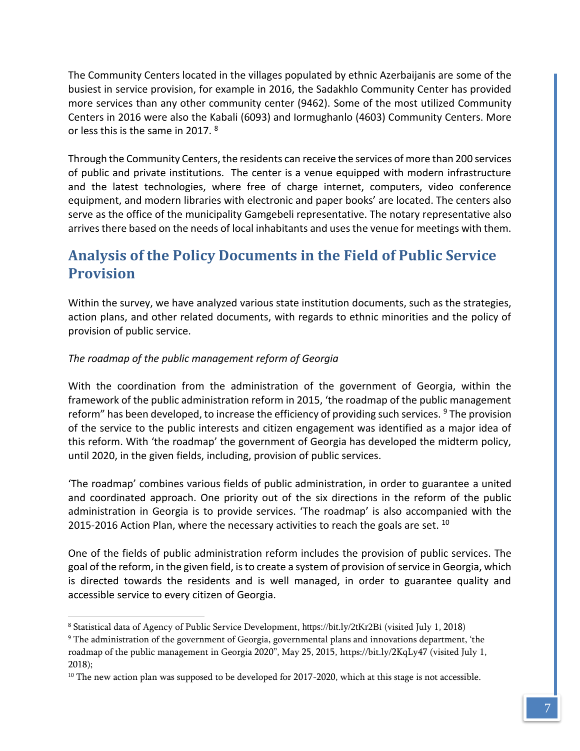The Community Centers located in the villages populated by ethnic Azerbaijanis are some of the busiest in service provision, for example in 2016, the Sadakhlo Community Center has provided more services than any other community center (9462). Some of the most utilized Community Centers in 2016 were also the Kabali (6093) and Iormughanlo (4603) Community Centers. More or less this is the same in 2017. <sup>8</sup>

Through the Community Centers, the residents can receive the services of more than 200 services of public and private institutions. The center is a venue equipped with modern infrastructure and the latest technologies, where free of charge internet, computers, video conference equipment, and modern libraries with electronic and paper books' are located. The centers also serve as the office of the municipality Gamgebeli representative. The notary representative also arrives there based on the needs of local inhabitants and uses the venue for meetings with them.

# <span id="page-7-0"></span>**Analysis of the Policy Documents in the Field of Public Service Provision**

Within the survey, we have analyzed various state institution documents, such as the strategies, action plans, and other related documents, with regards to ethnic minorities and the policy of provision of public service.

# *The roadmap of the public management reform of Georgia*

 $\overline{a}$ 

With the coordination from the administration of the government of Georgia, within the framework of the public administration reform in 2015, 'the roadmap of the public management reform" has been developed, to increase the efficiency of providing such services. <sup>9</sup> The provision of the service to the public interests and citizen engagement was identified as a major idea of this reform. With 'the roadmap' the government of Georgia has developed the midterm policy, until 2020, in the given fields, including, provision of public services.

'The roadmap' combines various fields of public administration, in order to guarantee a united and coordinated approach. One priority out of the six directions in the reform of the public administration in Georgia is to provide services. 'The roadmap' is also accompanied with the 2015-2016 Action Plan, where the necessary activities to reach the goals are set. <sup>10</sup>

One of the fields of public administration reform includes the provision of public services. The goal of the reform, in the given field, is to create a system of provision of service in Georgia, which is directed towards the residents and is well managed, in order to guarantee quality and accessible service to every citizen of Georgia.

<sup>8</sup> Statistical data of Agency of Public Service Development, https://bit.ly/2tKr2Bi (visited July 1, 2018)

<sup>9</sup> The administration of the government of Georgia, governmental plans and innovations department, 'the roadmap of the public management in Georgia 2020", May 25, 2015, https://bit.ly/2KqLy47 (visited July 1, 2018);

 $10$  The new action plan was supposed to be developed for 2017-2020, which at this stage is not accessible.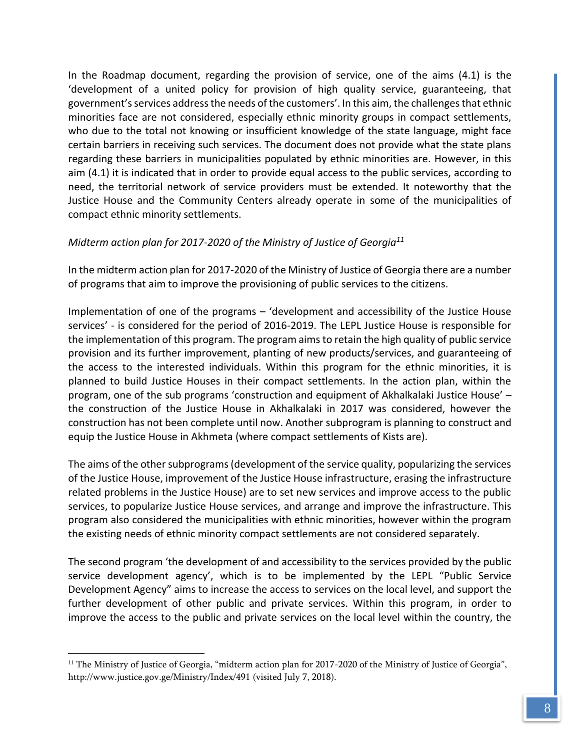In the Roadmap document, regarding the provision of service, one of the aims (4.1) is the 'development of a united policy for provision of high quality service, guaranteeing, that government's services address the needs of the customers'. In this aim, the challenges that ethnic minorities face are not considered, especially ethnic minority groups in compact settlements, who due to the total not knowing or insufficient knowledge of the state language, might face certain barriers in receiving such services. The document does not provide what the state plans regarding these barriers in municipalities populated by ethnic minorities are. However, in this aim (4.1) it is indicated that in order to provide equal access to the public services, according to need, the territorial network of service providers must be extended. It noteworthy that the Justice House and the Community Centers already operate in some of the municipalities of compact ethnic minority settlements.

# *Midterm action plan for 2017-2020 of the Ministry of Justice of Georgia<sup>11</sup>*

In the midterm action plan for 2017-2020 of the Ministry of Justice of Georgia there are a number of programs that aim to improve the provisioning of public services to the citizens.

Implementation of one of the programs – 'development and accessibility of the Justice House services' - is considered for the period of 2016-2019. The LEPL Justice House is responsible for the implementation of this program. The program aims to retain the high quality of public service provision and its further improvement, planting of new products/services, and guaranteeing of the access to the interested individuals. Within this program for the ethnic minorities, it is planned to build Justice Houses in their compact settlements. In the action plan, within the program, one of the sub programs 'construction and equipment of Akhalkalaki Justice House' – the construction of the Justice House in Akhalkalaki in 2017 was considered, however the construction has not been complete until now. Another subprogram is planning to construct and equip the Justice House in Akhmeta (where compact settlements of Kists are).

The aims of the other subprograms (development of the service quality, popularizing the services of the Justice House, improvement of the Justice House infrastructure, erasing the infrastructure related problems in the Justice House) are to set new services and improve access to the public services, to popularize Justice House services, and arrange and improve the infrastructure. This program also considered the municipalities with ethnic minorities, however within the program the existing needs of ethnic minority compact settlements are not considered separately.

The second program 'the development of and accessibility to the services provided by the public service development agency', which is to be implemented by the LEPL "Public Service Development Agency" aims to increase the access to services on the local level, and support the further development of other public and private services. Within this program, in order to improve the access to the public and private services on the local level within the country, the

<sup>&</sup>lt;sup>11</sup> The Ministry of Justice of Georgia, "midterm action plan for 2017-2020 of the Ministry of Justice of Georgia", http://www.justice.gov.ge/Ministry/Index/491 (visited July 7, 2018).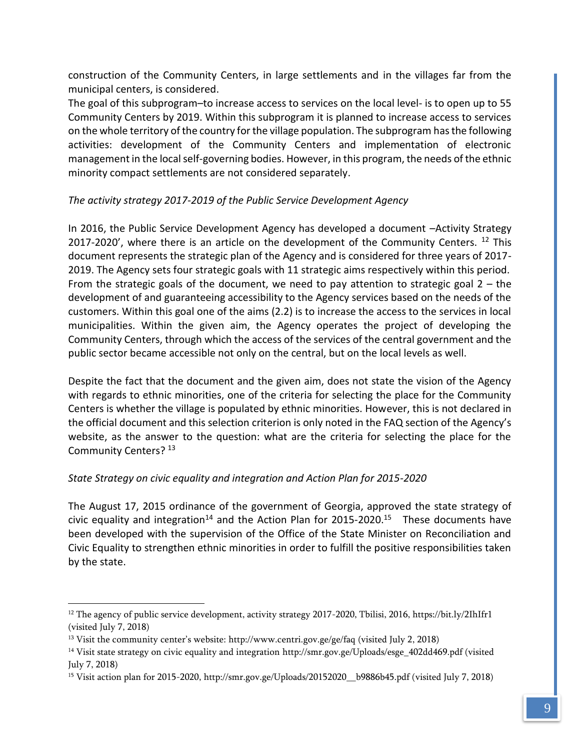construction of the Community Centers, in large settlements and in the villages far from the municipal centers, is considered.

The goal of this subprogram–to increase access to services on the local level- is to open up to 55 Community Centers by 2019. Within this subprogram it is planned to increase access to services on the whole territory of the country for the village population. The subprogram has the following activities: development of the Community Centers and implementation of electronic management in the local self-governing bodies. However, in this program, the needs of the ethnic minority compact settlements are not considered separately.

# *The activity strategy 2017-2019 of the Public Service Development Agency*

In 2016, the Public Service Development Agency has developed a document –Activity Strategy 2017-2020', where there is an article on the development of the Community Centers.  $12$  This document represents the strategic plan of the Agency and is considered for three years of 2017- 2019. The Agency sets four strategic goals with 11 strategic aims respectively within this period. From the strategic goals of the document, we need to pay attention to strategic goal  $2 -$  the development of and guaranteeing accessibility to the Agency services based on the needs of the customers. Within this goal one of the aims (2.2) is to increase the access to the services in local municipalities. Within the given aim, the Agency operates the project of developing the Community Centers, through which the access of the services of the central government and the public sector became accessible not only on the central, but on the local levels as well.

Despite the fact that the document and the given aim, does not state the vision of the Agency with regards to ethnic minorities, one of the criteria for selecting the place for the Community Centers is whether the village is populated by ethnic minorities. However, this is not declared in the official document and this selection criterion is only noted in the FAQ section of the Agency's website, as the answer to the question: what are the criteria for selecting the place for the Community Centers? 13

# *State Strategy on civic equality and integration and Action Plan for 2015-2020*

The August 17, 2015 ordinance of the government of Georgia, approved the state strategy of civic equality and integration<sup>14</sup> and the Action Plan for 2015-2020.<sup>15</sup> These documents have been developed with the supervision of the Office of the State Minister on Reconciliation and Civic Equality to strengthen ethnic minorities in order to fulfill the positive responsibilities taken by the state.

<sup>&</sup>lt;sup>12</sup> The agency of public service development, activity strategy 2017-2020, Tbilisi, 2016, https://bit.ly/2IhIfr1 (visited July 7, 2018)

<sup>&</sup>lt;sup>13</sup> Visit the community center's website: <http://www.centri.gov.ge/ge/faq> (visited July 2, 2018)

<sup>14</sup> Visit state strategy on civic equality and integration [http://smr.gov.ge/Uploads/esge\\_402dd469.pdf](http://smr.gov.ge/Uploads/esge_402dd469.pdf) (visited July 7, 2018)

<sup>15</sup> Visit action plan for 2015-2020, http://smr.gov.ge/Uploads/20152020\_\_b9886b45.pdf (visited July 7, 2018)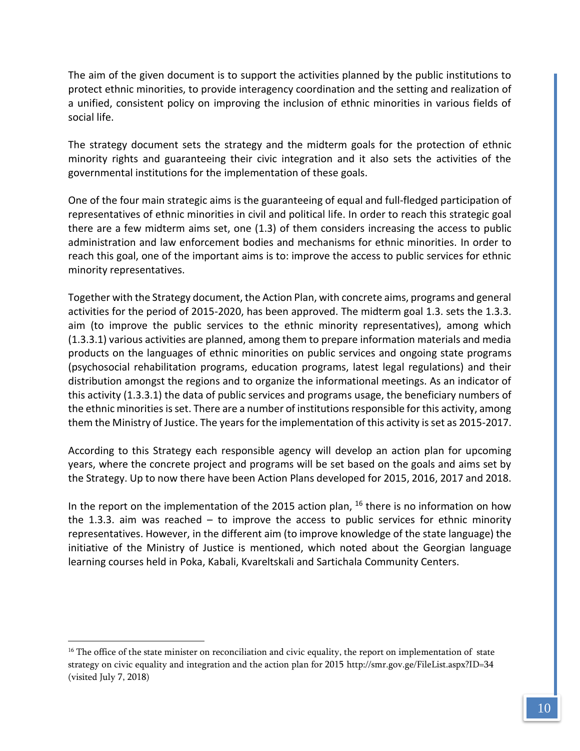The aim of the given document is to support the activities planned by the public institutions to protect ethnic minorities, to provide interagency coordination and the setting and realization of a unified, consistent policy on improving the inclusion of ethnic minorities in various fields of social life.

The strategy document sets the strategy and the midterm goals for the protection of ethnic minority rights and guaranteeing their civic integration and it also sets the activities of the governmental institutions for the implementation of these goals.

One of the four main strategic aims is the guaranteeing of equal and full-fledged participation of representatives of ethnic minorities in civil and political life. In order to reach this strategic goal there are a few midterm aims set, one (1.3) of them considers increasing the access to public administration and law enforcement bodies and mechanisms for ethnic minorities. In order to reach this goal, one of the important aims is to: improve the access to public services for ethnic minority representatives.

Together with the Strategy document, the Action Plan, with concrete aims, programs and general activities for the period of 2015-2020, has been approved. The midterm goal 1.3. sets the 1.3.3. aim (to improve the public services to the ethnic minority representatives), among which (1.3.3.1) various activities are planned, among them to prepare information materials and media products on the languages of ethnic minorities on public services and ongoing state programs (psychosocial rehabilitation programs, education programs, latest legal regulations) and their distribution amongst the regions and to organize the informational meetings. As an indicator of this activity (1.3.3.1) the data of public services and programs usage, the beneficiary numbers of the ethnic minorities is set. There are a number of institutions responsible for this activity, among them the Ministry of Justice. The years for the implementation of this activity is set as 2015-2017.

According to this Strategy each responsible agency will develop an action plan for upcoming years, where the concrete project and programs will be set based on the goals and aims set by the Strategy. Up to now there have been Action Plans developed for 2015, 2016, 2017 and 2018.

In the report on the implementation of the 2015 action plan,  $^{16}$  there is no information on how the 1.3.3. aim was reached  $-$  to improve the access to public services for ethnic minority representatives. However, in the different aim (to improve knowledge of the state language) the initiative of the Ministry of Justice is mentioned, which noted about the Georgian language learning courses held in Poka, Kabali, Kvareltskali and Sartichala Community Centers.

<sup>&</sup>lt;sup>16</sup> The office of the state minister on reconciliation and civic equality, the report on implementation of state strategy on civic equality and integration and the action plan for 2015<http://smr.gov.ge/FileList.aspx?ID=34> (visited July 7, 2018)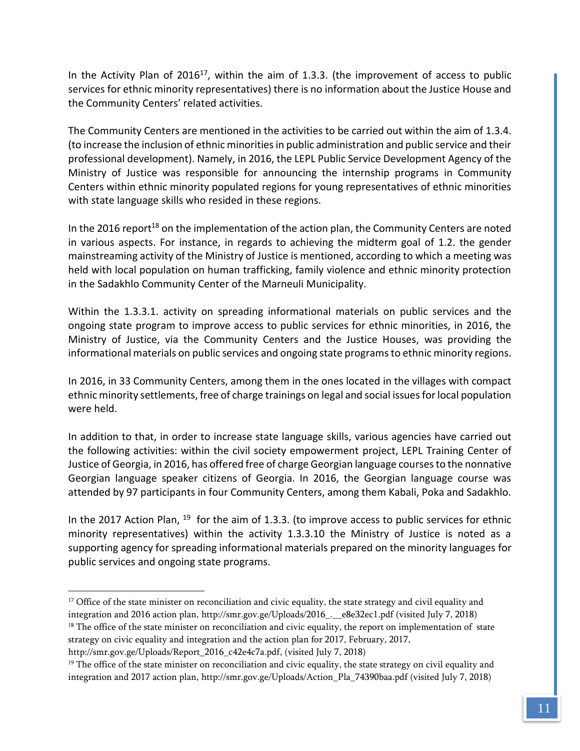In the Activity Plan of  $2016^{17}$ , within the aim of 1.3.3. (the improvement of access to public services for ethnic minority representatives) there is no information about the Justice House and the Community Centers' related activities.

The Community Centers are mentioned in the activities to be carried out within the aim of 1.3.4. (to increase the inclusion of ethnic minorities in public administration and public service and their professional development). Namely, in 2016, the LEPL Public Service Development Agency of the Ministry of Justice was responsible for announcing the internship programs in Community Centers within ethnic minority populated regions for young representatives of ethnic minorities with state language skills who resided in these regions.

In the 2016 report<sup>18</sup> on the implementation of the action plan, the Community Centers are noted in various aspects. For instance, in regards to achieving the midterm goal of 1.2. the gender mainstreaming activity of the Ministry of Justice is mentioned, according to which a meeting was held with local population on human trafficking, family violence and ethnic minority protection in the Sadakhlo Community Center of the Marneuli Municipality.

Within the 1.3.3.1. activity on spreading informational materials on public services and the ongoing state program to improve access to public services for ethnic minorities, in 2016, the Ministry of Justice, via the Community Centers and the Justice Houses, was providing the informational materials on public services and ongoing state programs to ethnic minority regions.

In 2016, in 33 Community Centers, among them in the ones located in the villages with compact ethnic minority settlements, free of charge trainings on legal and social issues for local population were held.

In addition to that, in order to increase state language skills, various agencies have carried out the following activities: within the civil society empowerment project, LEPL Training Center of Justice of Georgia, in 2016, has offered free of charge Georgian language courses to the nonnative Georgian language speaker citizens of Georgia. In 2016, the Georgian language course was attended by 97 participants in four Community Centers, among them Kabali, Poka and Sadakhlo.

In the 2017 Action Plan,  $^{19}$  for the aim of 1.3.3. (to improve access to public services for ethnic minority representatives) within the activity 1.3.3.10 the Ministry of Justice is noted as a supporting agency for spreading informational materials prepared on the minority languages for public services and ongoing state programs.

[http://smr.gov.ge/Uploads/Report\\_2016\\_c42e4c7a.pdf,](http://smr.gov.ge/Uploads/Report_2016_c42e4c7a.pdf) (visited July 7, 2018)

l

<sup>&</sup>lt;sup>17</sup> Office of the state minister on reconciliation and civic equality, the state strategy and civil equality and integration and 2016 action plan, http://smr.gov.ge/Uploads/2016\_.\_\_e8e32ec1.pdf (visited July 7, 2018) <sup>18</sup> The office of the state minister on reconciliation and civic equality, the report on implementation of state strategy on civic equality and integration and the action plan for 2017, February, 2017,

 $19$  The office of the state minister on reconciliation and civic equality, the state strategy on civil equality and integration and 2017 action plan, http://smr.gov.ge/Uploads/Action\_Pla\_74390baa.pdf (visited July 7, 2018)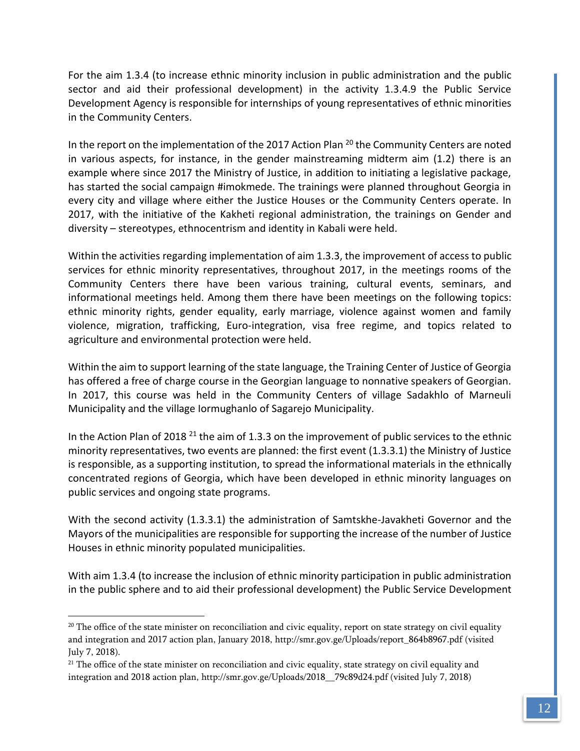For the aim 1.3.4 (to increase ethnic minority inclusion in public administration and the public sector and aid their professional development) in the activity 1.3.4.9 the Public Service Development Agency is responsible for internships of young representatives of ethnic minorities in the Community Centers.

In the report on the implementation of the 2017 Action Plan  $^{20}$  the Community Centers are noted in various aspects, for instance, in the gender mainstreaming midterm aim (1.2) there is an example where since 2017 the Ministry of Justice, in addition to initiating a legislative package, has started the social campaign #imokmede. The trainings were planned throughout Georgia in every city and village where either the Justice Houses or the Community Centers operate. In 2017, with the initiative of the Kakheti regional administration, the trainings on Gender and diversity – stereotypes, ethnocentrism and identity in Kabali were held.

Within the activities regarding implementation of aim 1.3.3, the improvement of access to public services for ethnic minority representatives, throughout 2017, in the meetings rooms of the Community Centers there have been various training, cultural events, seminars, and informational meetings held. Among them there have been meetings on the following topics: ethnic minority rights, gender equality, early marriage, violence against women and family violence, migration, trafficking, Euro-integration, visa free regime, and topics related to agriculture and environmental protection were held.

Within the aim to support learning of the state language, the Training Center of Justice of Georgia has offered a free of charge course in the Georgian language to nonnative speakers of Georgian. In 2017, this course was held in the Community Centers of village Sadakhlo of Marneuli Municipality and the village Iormughanlo of Sagarejo Municipality.

In the Action Plan of 2018<sup>21</sup> the aim of 1.3.3 on the improvement of public services to the ethnic minority representatives, two events are planned: the first event (1.3.3.1) the Ministry of Justice is responsible, as a supporting institution, to spread the informational materials in the ethnically concentrated regions of Georgia, which have been developed in ethnic minority languages on public services and ongoing state programs.

With the second activity (1.3.3.1) the administration of Samtskhe-Javakheti Governor and the Mayors of the municipalities are responsible for supporting the increase of the number of Justice Houses in ethnic minority populated municipalities.

With aim 1.3.4 (to increase the inclusion of ethnic minority participation in public administration in the public sphere and to aid their professional development) the Public Service Development

 $20$  The office of the state minister on reconciliation and civic equality, report on state strategy on civil equality and integration and 2017 action plan, January 2018, [http://smr.gov.ge/Uploads/report\\_864b8967.pdf](http://smr.gov.ge/Uploads/report_864b8967.pdf) (visited July 7, 2018).

<sup>&</sup>lt;sup>21</sup> The office of the state minister on reconciliation and civic equality, state strategy on civil equality and integration and 2018 action plan, [http://smr.gov.ge/Uploads/2018\\_\\_79c89d24.pdf](http://smr.gov.ge/Uploads/2018__79c89d24.pdf) (visited July 7, 2018)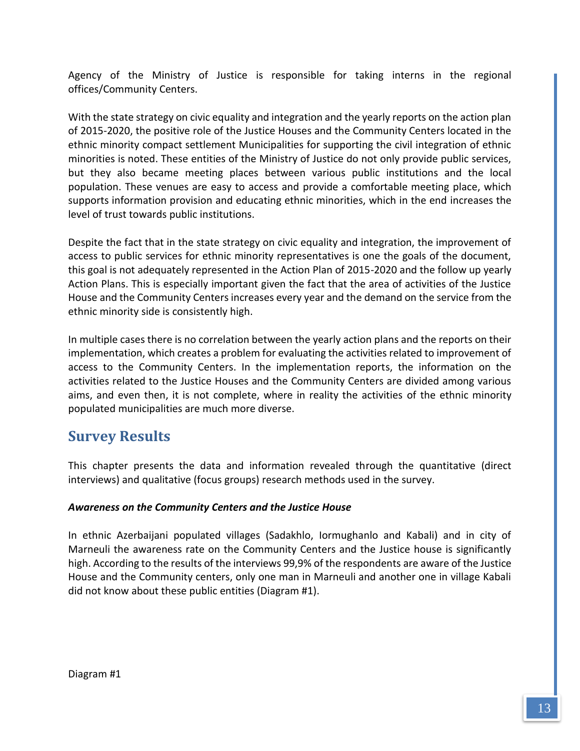Agency of the Ministry of Justice is responsible for taking interns in the regional offices/Community Centers.

With the state strategy on civic equality and integration and the yearly reports on the action plan of 2015-2020, the positive role of the Justice Houses and the Community Centers located in the ethnic minority compact settlement Municipalities for supporting the civil integration of ethnic minorities is noted. These entities of the Ministry of Justice do not only provide public services, but they also became meeting places between various public institutions and the local population. These venues are easy to access and provide a comfortable meeting place, which supports information provision and educating ethnic minorities, which in the end increases the level of trust towards public institutions.

Despite the fact that in the state strategy on civic equality and integration, the improvement of access to public services for ethnic minority representatives is one the goals of the document, this goal is not adequately represented in the Action Plan of 2015-2020 and the follow up yearly Action Plans. This is especially important given the fact that the area of activities of the Justice House and the Community Centers increases every year and the demand on the service from the ethnic minority side is consistently high.

In multiple cases there is no correlation between the yearly action plans and the reports on their implementation, which creates a problem for evaluating the activities related to improvement of access to the Community Centers. In the implementation reports, the information on the activities related to the Justice Houses and the Community Centers are divided among various aims, and even then, it is not complete, where in reality the activities of the ethnic minority populated municipalities are much more diverse.

# <span id="page-13-0"></span>**Survey Results**

This chapter presents the data and information revealed through the quantitative (direct interviews) and qualitative (focus groups) research methods used in the survey.

# *Awareness on the Community Centers and the Justice House*

In ethnic Azerbaijani populated villages (Sadakhlo, Iormughanlo and Kabali) and in city of Marneuli the awareness rate on the Community Centers and the Justice house is significantly high. According to the results of the interviews 99,9% of the respondents are aware of the Justice House and the Community centers, only one man in Marneuli and another one in village Kabali did not know about these public entities (Diagram #1).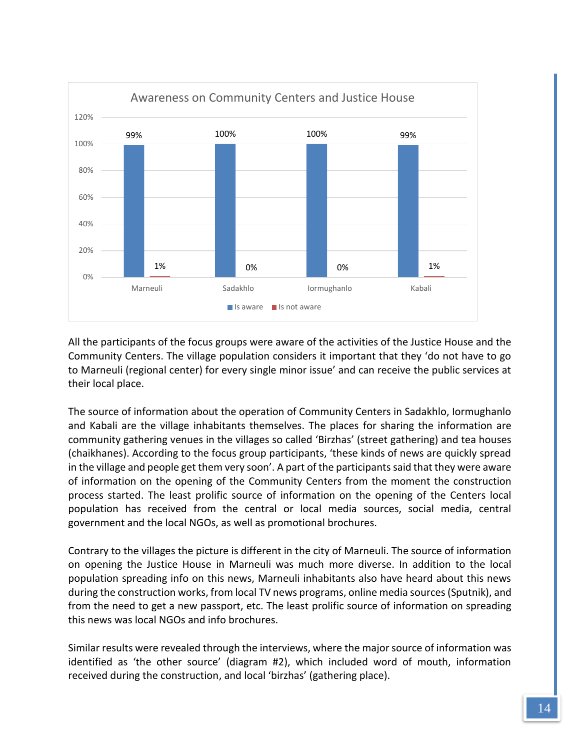

All the participants of the focus groups were aware of the activities of the Justice House and the Community Centers. The village population considers it important that they 'do not have to go to Marneuli (regional center) for every single minor issue' and can receive the public services at their local place.

The source of information about the operation of Community Centers in Sadakhlo, Iormughanlo and Kabali are the village inhabitants themselves. The places for sharing the information are community gathering venues in the villages so called 'Birzhas' (street gathering) and tea houses (chaikhanes). According to the focus group participants, 'these kinds of news are quickly spread in the village and people get them very soon'. A part of the participants said that they were aware of information on the opening of the Community Centers from the moment the construction process started. The least prolific source of information on the opening of the Centers local population has received from the central or local media sources, social media, central government and the local NGOs, as well as promotional brochures.

Contrary to the villages the picture is different in the city of Marneuli. The source of information on opening the Justice House in Marneuli was much more diverse. In addition to the local population spreading info on this news, Marneuli inhabitants also have heard about this news during the construction works, from local TV news programs, online media sources (Sputnik), and from the need to get a new passport, etc. The least prolific source of information on spreading this news was local NGOs and info brochures.

Similar results were revealed through the interviews, where the major source of information was identified as 'the other source' (diagram #2), which included word of mouth, information received during the construction, and local 'birzhas' (gathering place).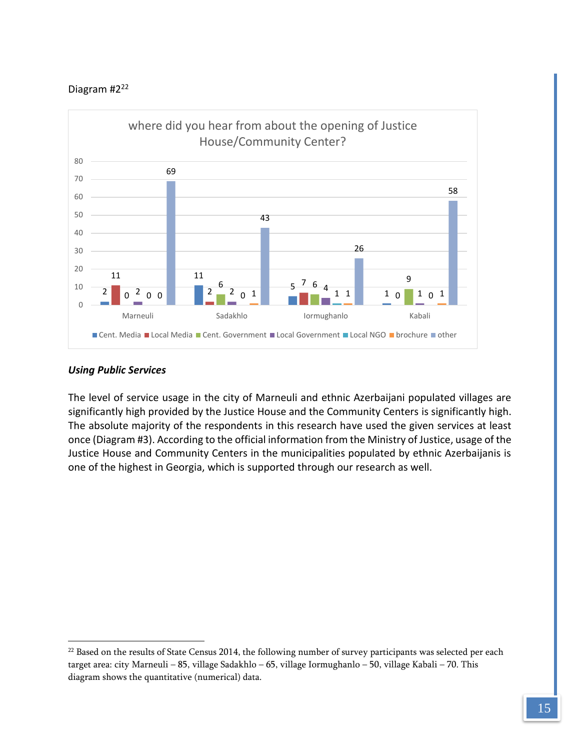

### *Using Public Services*

 $\overline{a}$ 

The level of service usage in the city of Marneuli and ethnic Azerbaijani populated villages are significantly high provided by the Justice House and the Community Centers is significantly high. The absolute majority of the respondents in this research have used the given services at least once (Diagram #3). According to the official information from the Ministry of Justice, usage of the Justice House and Community Centers in the municipalities populated by ethnic Azerbaijanis is one of the highest in Georgia, which is supported through our research as well.

<sup>&</sup>lt;sup>22</sup> Based on the results of State Census 2014, the following number of survey participants was selected per each target area: city Marneuli – 85, village Sadakhlo – 65, village Iormughanlo – 50, village Kabali – 70. This diagram shows the quantitative (numerical) data.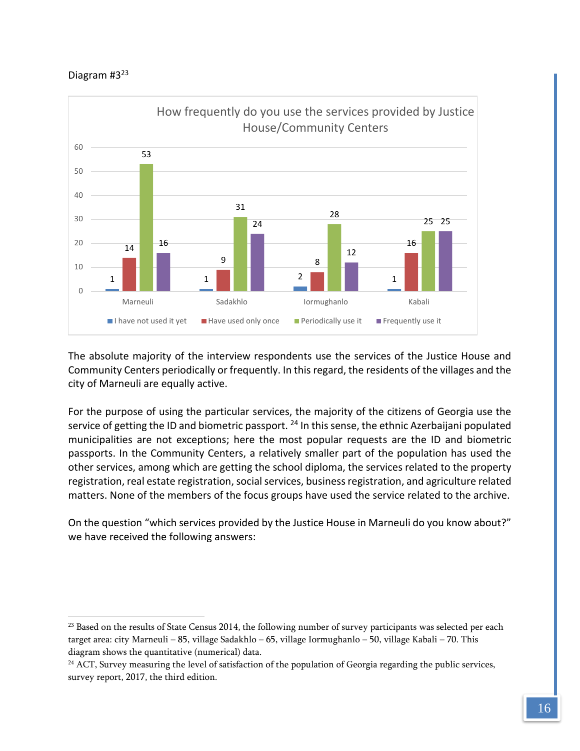$\overline{a}$ 



The absolute majority of the interview respondents use the services of the Justice House and Community Centers periodically or frequently. In this regard, the residents of the villages and the city of Marneuli are equally active.

For the purpose of using the particular services, the majority of the citizens of Georgia use the service of getting the ID and biometric passport. <sup>24</sup> In this sense, the ethnic Azerbaijani populated municipalities are not exceptions; here the most popular requests are the ID and biometric passports. In the Community Centers, a relatively smaller part of the population has used the other services, among which are getting the school diploma, the services related to the property registration, real estate registration, social services, business registration, and agriculture related matters. None of the members of the focus groups have used the service related to the archive.

On the question "which services provided by the Justice House in Marneuli do you know about?" we have received the following answers:

<sup>&</sup>lt;sup>23</sup> Based on the results of State Census 2014, the following number of survey participants was selected per each target area: city Marneuli – 85, village Sadakhlo – 65, village Iormughanlo – 50, village Kabali – 70. This diagram shows the quantitative (numerical) data.

<sup>&</sup>lt;sup>24</sup> ACT, Survey measuring the level of satisfaction of the population of Georgia regarding the public services, survey report, 2017, the third edition.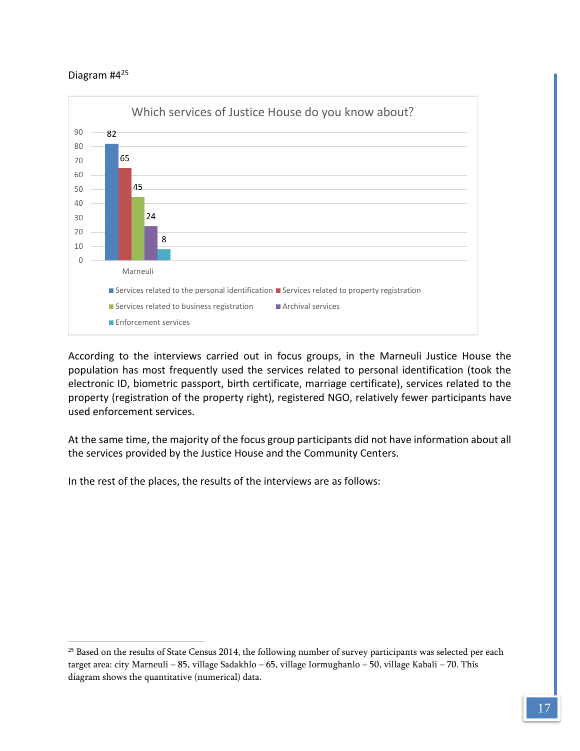$\overline{a}$ 



According to the interviews carried out in focus groups, in the Marneuli Justice House the population has most frequently used the services related to personal identification (took the electronic ID, biometric passport, birth certificate, marriage certificate), services related to the property (registration of the property right), registered NGO, relatively fewer participants have used enforcement services.

At the same time, the majority of the focus group participants did not have information about all the services provided by the Justice House and the Community Centers.

In the rest of the places, the results of the interviews are as follows:

<sup>&</sup>lt;sup>25</sup> Based on the results of State Census 2014, the following number of survey participants was selected per each target area: city Marneuli – 85, village Sadakhlo – 65, village Iormughanlo – 50, village Kabali – 70. This diagram shows the quantitative (numerical) data.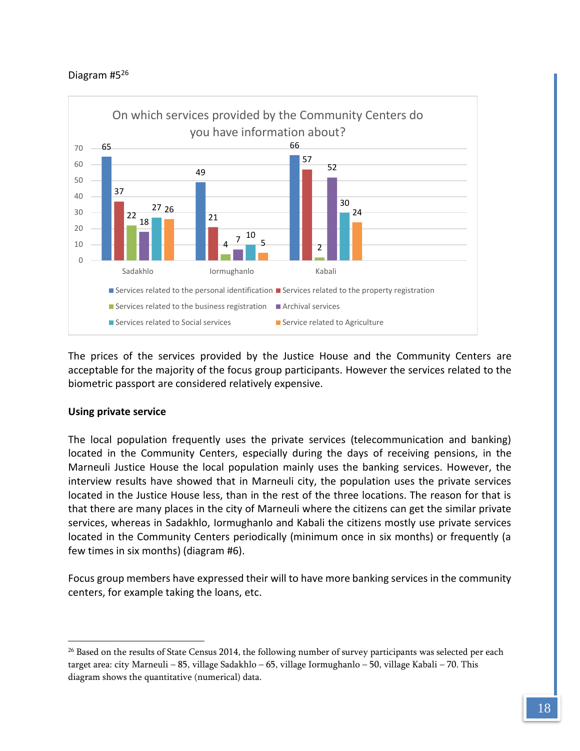

The prices of the services provided by the Justice House and the Community Centers are acceptable for the majority of the focus group participants. However the services related to the biometric passport are considered relatively expensive.

# **Using private service**

 $\overline{a}$ 

The local population frequently uses the private services (telecommunication and banking) located in the Community Centers, especially during the days of receiving pensions, in the Marneuli Justice House the local population mainly uses the banking services. However, the interview results have showed that in Marneuli city, the population uses the private services located in the Justice House less, than in the rest of the three locations. The reason for that is that there are many places in the city of Marneuli where the citizens can get the similar private services, whereas in Sadakhlo, Iormughanlo and Kabali the citizens mostly use private services located in the Community Centers periodically (minimum once in six months) or frequently (a few times in six months) (diagram #6).

Focus group members have expressed their will to have more banking services in the community centers, for example taking the loans, etc.

<sup>&</sup>lt;sup>26</sup> Based on the results of State Census 2014, the following number of survey participants was selected per each target area: city Marneuli – 85, village Sadakhlo – 65, village Iormughanlo – 50, village Kabali – 70. This diagram shows the quantitative (numerical) data.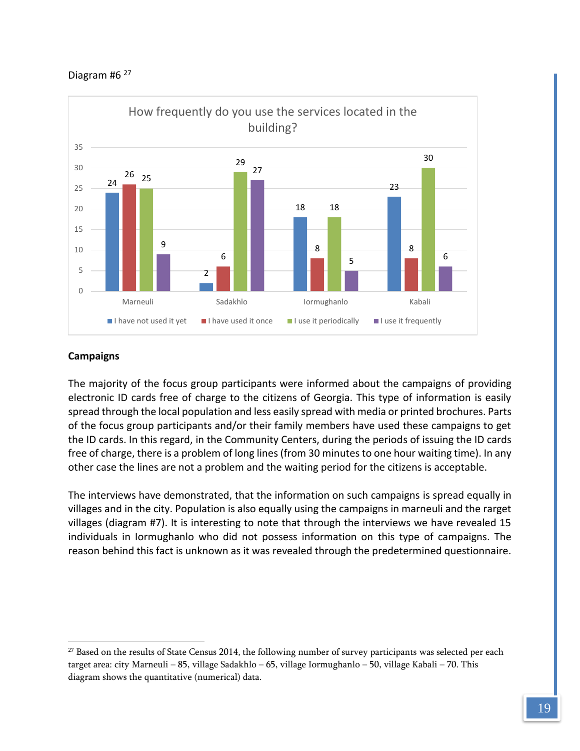### Diagram #6<sup>27</sup>



### **Campaigns**

 $\overline{a}$ 

The majority of the focus group participants were informed about the campaigns of providing electronic ID cards free of charge to the citizens of Georgia. This type of information is easily spread through the local population and less easily spread with media or printed brochures. Parts of the focus group participants and/or their family members have used these campaigns to get the ID cards. In this regard, in the Community Centers, during the periods of issuing the ID cards free of charge, there is a problem of long lines (from 30 minutes to one hour waiting time). In any other case the lines are not a problem and the waiting period for the citizens is acceptable.

The interviews have demonstrated, that the information on such campaigns is spread equally in villages and in the city. Population is also equally using the campaigns in marneuli and the rarget villages (diagram #7). It is interesting to note that through the interviews we have revealed 15 individuals in Iormughanlo who did not possess information on this type of campaigns. The reason behind this fact is unknown as it was revealed through the predetermined questionnaire.

<sup>&</sup>lt;sup>27</sup> Based on the results of State Census 2014, the following number of survey participants was selected per each target area: city Marneuli – 85, village Sadakhlo – 65, village Iormughanlo – 50, village Kabali – 70. This diagram shows the quantitative (numerical) data.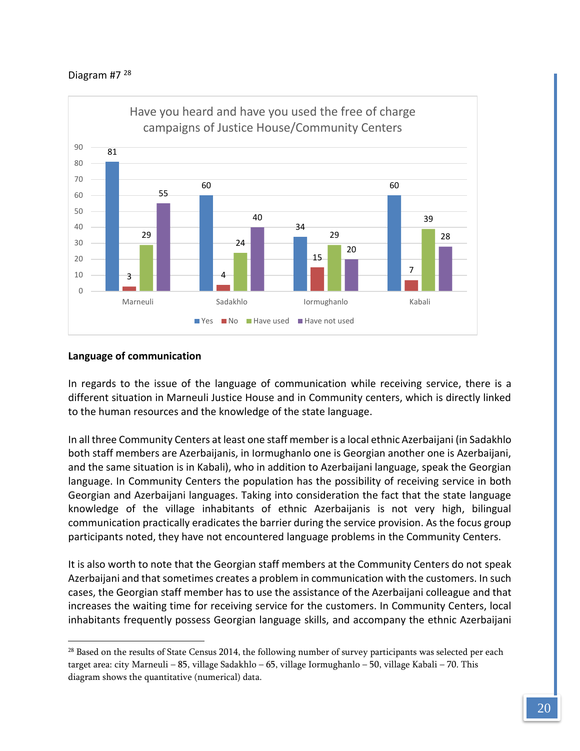

#### **Language of communication**

 $\overline{a}$ 

In regards to the issue of the language of communication while receiving service, there is a different situation in Marneuli Justice House and in Community centers, which is directly linked to the human resources and the knowledge of the state language.

In all three Community Centers at least one staff member is a local ethnic Azerbaijani (in Sadakhlo both staff members are Azerbaijanis, in Iormughanlo one is Georgian another one is Azerbaijani, and the same situation is in Kabali), who in addition to Azerbaijani language, speak the Georgian language. In Community Centers the population has the possibility of receiving service in both Georgian and Azerbaijani languages. Taking into consideration the fact that the state language knowledge of the village inhabitants of ethnic Azerbaijanis is not very high, bilingual communication practically eradicates the barrier during the service provision. As the focus group participants noted, they have not encountered language problems in the Community Centers.

It is also worth to note that the Georgian staff members at the Community Centers do not speak Azerbaijani and that sometimes creates a problem in communication with the customers. In such cases, the Georgian staff member has to use the assistance of the Azerbaijani colleague and that increases the waiting time for receiving service for the customers. In Community Centers, local inhabitants frequently possess Georgian language skills, and accompany the ethnic Azerbaijani

<sup>&</sup>lt;sup>28</sup> Based on the results of State Census 2014, the following number of survey participants was selected per each target area: city Marneuli – 85, village Sadakhlo – 65, village Iormughanlo – 50, village Kabali – 70. This diagram shows the quantitative (numerical) data.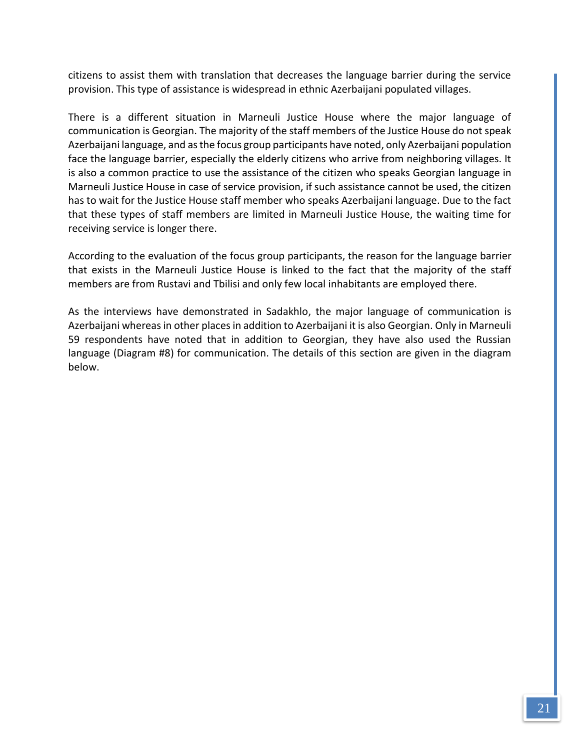citizens to assist them with translation that decreases the language barrier during the service provision. This type of assistance is widespread in ethnic Azerbaijani populated villages.

There is a different situation in Marneuli Justice House where the major language of communication is Georgian. The majority of the staff members of the Justice House do not speak Azerbaijani language, and as the focus group participants have noted, only Azerbaijani population face the language barrier, especially the elderly citizens who arrive from neighboring villages. It is also a common practice to use the assistance of the citizen who speaks Georgian language in Marneuli Justice House in case of service provision, if such assistance cannot be used, the citizen has to wait for the Justice House staff member who speaks Azerbaijani language. Due to the fact that these types of staff members are limited in Marneuli Justice House, the waiting time for receiving service is longer there.

According to the evaluation of the focus group participants, the reason for the language barrier that exists in the Marneuli Justice House is linked to the fact that the majority of the staff members are from Rustavi and Tbilisi and only few local inhabitants are employed there.

As the interviews have demonstrated in Sadakhlo, the major language of communication is Azerbaijani whereas in other places in addition to Azerbaijani it is also Georgian. Only in Marneuli 59 respondents have noted that in addition to Georgian, they have also used the Russian language (Diagram #8) for communication. The details of this section are given in the diagram below.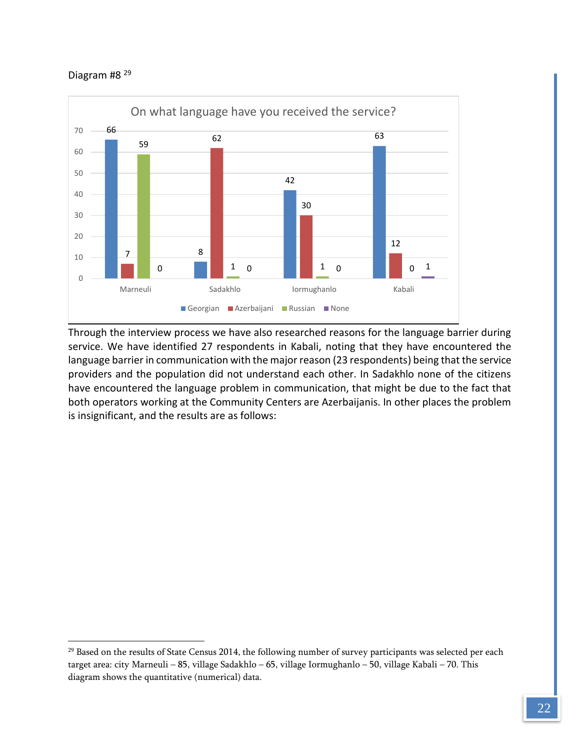$\overline{a}$ 



Through the interview process we have also researched reasons for the language barrier during service. We have identified 27 respondents in Kabali, noting that they have encountered the language barrier in communication with the major reason (23 respondents) being that the service providers and the population did not understand each other. In Sadakhlo none of the citizens have encountered the language problem in communication, that might be due to the fact that both operators working at the Community Centers are Azerbaijanis. In other places the problem is insignificant, and the results are as follows:

<sup>&</sup>lt;sup>29</sup> Based on the results of State Census 2014, the following number of survey participants was selected per each target area: city Marneuli – 85, village Sadakhlo – 65, village Iormughanlo – 50, village Kabali – 70. This diagram shows the quantitative (numerical) data.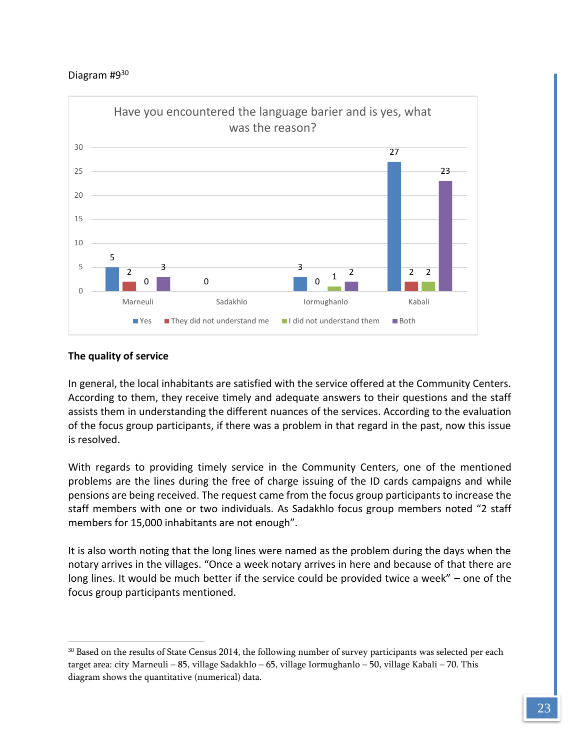

### **The quality of service**

 $\overline{a}$ 

In general, the local inhabitants are satisfied with the service offered at the Community Centers. According to them, they receive timely and adequate answers to their questions and the staff assists them in understanding the different nuances of the services. According to the evaluation of the focus group participants, if there was a problem in that regard in the past, now this issue is resolved.

With regards to providing timely service in the Community Centers, one of the mentioned problems are the lines during the free of charge issuing of the ID cards campaigns and while pensions are being received. The request came from the focus group participants to increase the staff members with one or two individuals. As Sadakhlo focus group members noted "2 staff members for 15,000 inhabitants are not enough".

It is also worth noting that the long lines were named as the problem during the days when the notary arrives in the villages. "Once a week notary arrives in here and because of that there are long lines. It would be much better if the service could be provided twice a week" – one of the focus group participants mentioned.

<sup>30</sup> Based on the results of State Census 2014, the following number of survey participants was selected per each target area: city Marneuli – 85, village Sadakhlo – 65, village Iormughanlo – 50, village Kabali – 70. This diagram shows the quantitative (numerical) data.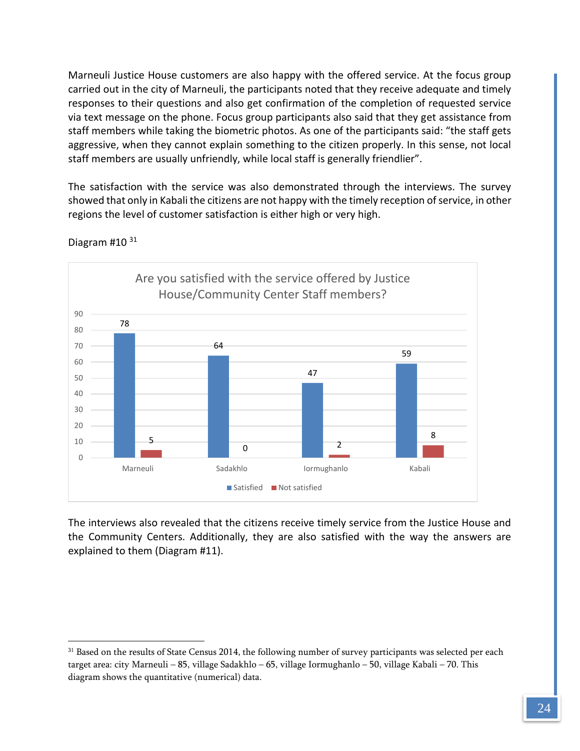Marneuli Justice House customers are also happy with the offered service. At the focus group carried out in the city of Marneuli, the participants noted that they receive adequate and timely responses to their questions and also get confirmation of the completion of requested service via text message on the phone. Focus group participants also said that they get assistance from staff members while taking the biometric photos. As one of the participants said: "the staff gets aggressive, when they cannot explain something to the citizen properly. In this sense, not local staff members are usually unfriendly, while local staff is generally friendlier".

The satisfaction with the service was also demonstrated through the interviews. The survey showed that only in Kabali the citizens are not happy with the timely reception of service, in other regions the level of customer satisfaction is either high or very high.



Diagram #10 31

 $\overline{a}$ 

The interviews also revealed that the citizens receive timely service from the Justice House and the Community Centers. Additionally, they are also satisfied with the way the answers are explained to them (Diagram #11).

<sup>&</sup>lt;sup>31</sup> Based on the results of State Census 2014, the following number of survey participants was selected per each target area: city Marneuli – 85, village Sadakhlo – 65, village Iormughanlo – 50, village Kabali – 70. This diagram shows the quantitative (numerical) data.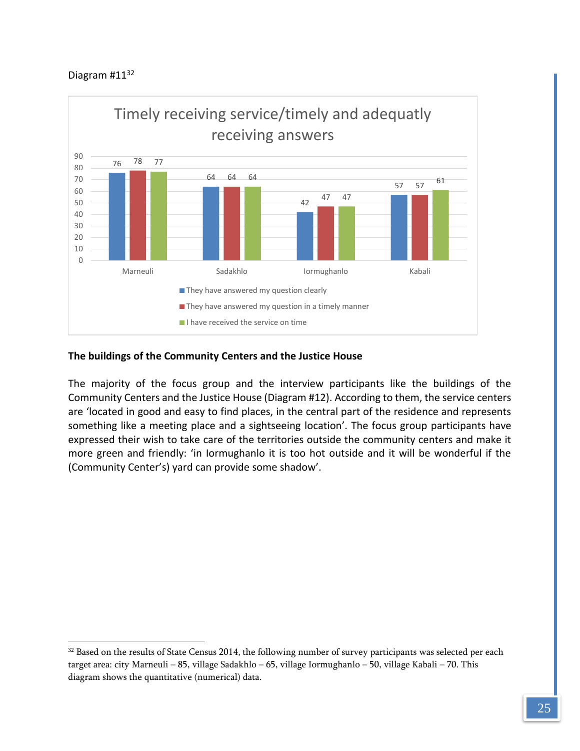$\overline{a}$ 



### **The buildings of the Community Centers and the Justice House**

The majority of the focus group and the interview participants like the buildings of the Community Centers and the Justice House (Diagram #12). According to them, the service centers are 'located in good and easy to find places, in the central part of the residence and represents something like a meeting place and a sightseeing location'. The focus group participants have expressed their wish to take care of the territories outside the community centers and make it more green and friendly: 'in Iormughanlo it is too hot outside and it will be wonderful if the (Community Center's) yard can provide some shadow'.

<sup>&</sup>lt;sup>32</sup> Based on the results of State Census 2014, the following number of survey participants was selected per each target area: city Marneuli – 85, village Sadakhlo – 65, village Iormughanlo – 50, village Kabali – 70. This diagram shows the quantitative (numerical) data.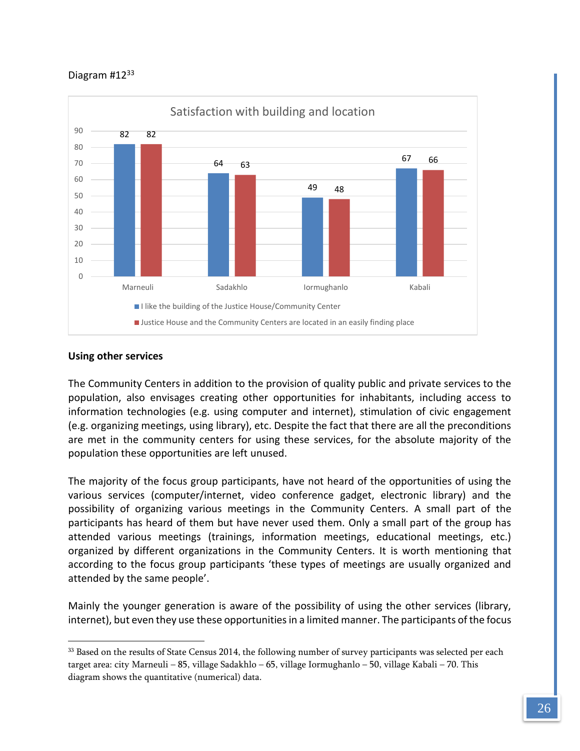

#### **Using other services**

 $\overline{a}$ 

The Community Centers in addition to the provision of quality public and private services to the population, also envisages creating other opportunities for inhabitants, including access to information technologies (e.g. using computer and internet), stimulation of civic engagement (e.g. organizing meetings, using library), etc. Despite the fact that there are all the preconditions are met in the community centers for using these services, for the absolute majority of the population these opportunities are left unused.

The majority of the focus group participants, have not heard of the opportunities of using the various services (computer/internet, video conference gadget, electronic library) and the possibility of organizing various meetings in the Community Centers. A small part of the participants has heard of them but have never used them. Only a small part of the group has attended various meetings (trainings, information meetings, educational meetings, etc.) organized by different organizations in the Community Centers. It is worth mentioning that according to the focus group participants 'these types of meetings are usually organized and attended by the same people'.

Mainly the younger generation is aware of the possibility of using the other services (library, internet), but even they use these opportunities in a limited manner. The participants of the focus

<sup>&</sup>lt;sup>33</sup> Based on the results of State Census 2014, the following number of survey participants was selected per each target area: city Marneuli – 85, village Sadakhlo – 65, village Iormughanlo – 50, village Kabali – 70. This diagram shows the quantitative (numerical) data.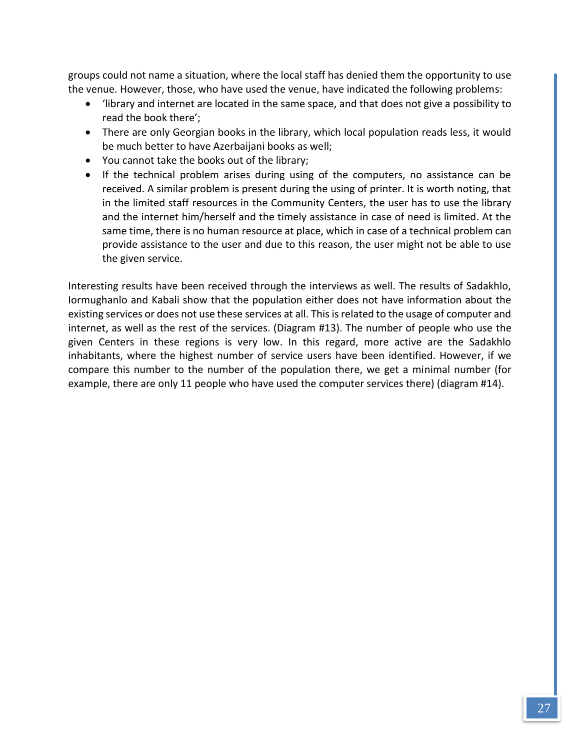groups could not name a situation, where the local staff has denied them the opportunity to use the venue. However, those, who have used the venue, have indicated the following problems:

- 'library and internet are located in the same space, and that does not give a possibility to read the book there';
- There are only Georgian books in the library, which local population reads less, it would be much better to have Azerbaijani books as well;
- You cannot take the books out of the library;
- If the technical problem arises during using of the computers, no assistance can be received. A similar problem is present during the using of printer. It is worth noting, that in the limited staff resources in the Community Centers, the user has to use the library and the internet him/herself and the timely assistance in case of need is limited. At the same time, there is no human resource at place, which in case of a technical problem can provide assistance to the user and due to this reason, the user might not be able to use the given service.

Interesting results have been received through the interviews as well. The results of Sadakhlo, Iormughanlo and Kabali show that the population either does not have information about the existing services or does not use these services at all. This is related to the usage of computer and internet, as well as the rest of the services. (Diagram #13). The number of people who use the given Centers in these regions is very low. In this regard, more active are the Sadakhlo inhabitants, where the highest number of service users have been identified. However, if we compare this number to the number of the population there, we get a minimal number (for example, there are only 11 people who have used the computer services there) (diagram #14).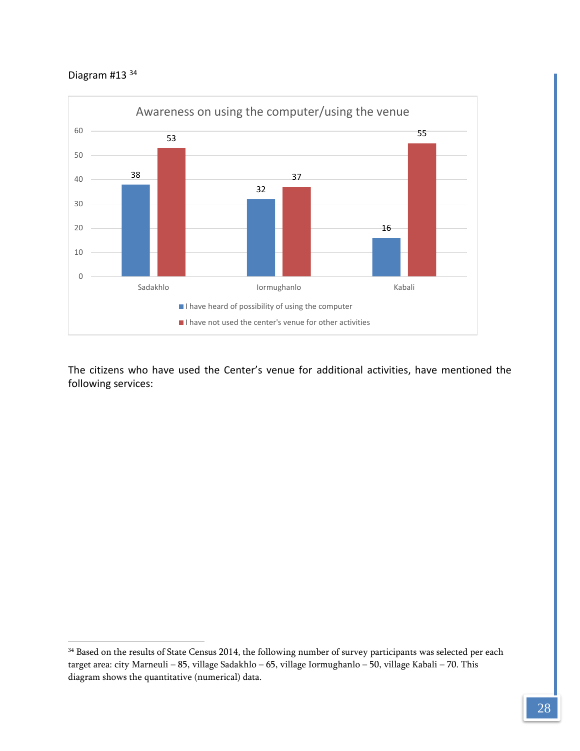# Diagram #13 <sup>34</sup>

 $\overline{a}$ 



The citizens who have used the Center's venue for additional activities, have mentioned the following services:

<sup>&</sup>lt;sup>34</sup> Based on the results of State Census 2014, the following number of survey participants was selected per each target area: city Marneuli – 85, village Sadakhlo – 65, village Iormughanlo – 50, village Kabali – 70. This diagram shows the quantitative (numerical) data.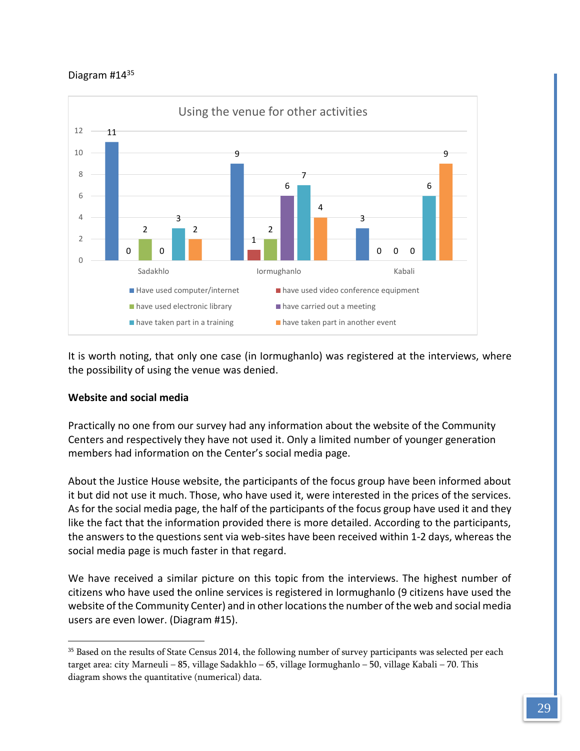

It is worth noting, that only one case (in Iormughanlo) was registered at the interviews, where the possibility of using the venue was denied.

### **Website and social media**

 $\overline{a}$ 

Practically no one from our survey had any information about the website of the Community Centers and respectively they have not used it. Only a limited number of younger generation members had information on the Center's social media page.

About the Justice House website, the participants of the focus group have been informed about it but did not use it much. Those, who have used it, were interested in the prices of the services. As for the social media page, the half of the participants of the focus group have used it and they like the fact that the information provided there is more detailed. According to the participants, the answers to the questions sent via web-sites have been received within 1-2 days, whereas the social media page is much faster in that regard.

We have received a similar picture on this topic from the interviews. The highest number of citizens who have used the online services is registered in Iormughanlo (9 citizens have used the website of the Community Center) and in other locations the number of the web and social media users are even lower. (Diagram #15).

<sup>35</sup> Based on the results of State Census 2014, the following number of survey participants was selected per each target area: city Marneuli – 85, village Sadakhlo – 65, village Iormughanlo – 50, village Kabali – 70. This diagram shows the quantitative (numerical) data.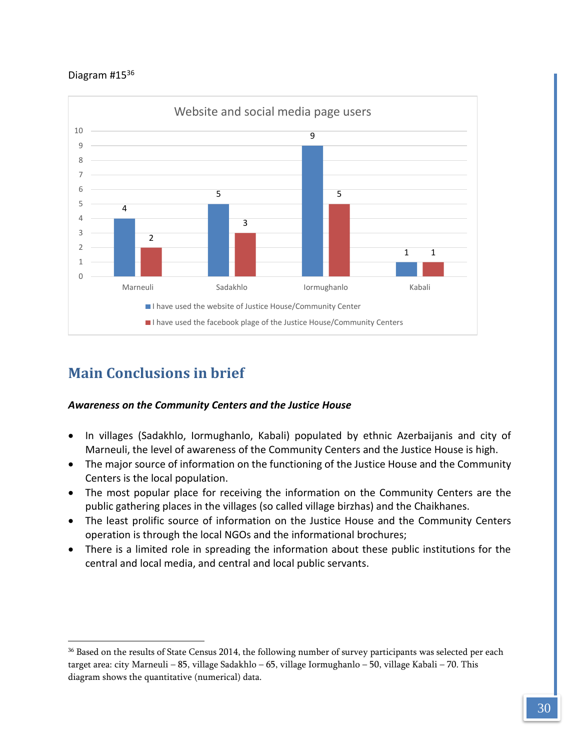

# <span id="page-30-0"></span>**Main Conclusions in brief**

 $\overline{a}$ 

# *Awareness on the Community Centers and the Justice House*

- In villages (Sadakhlo, Iormughanlo, Kabali) populated by ethnic Azerbaijanis and city of Marneuli, the level of awareness of the Community Centers and the Justice House is high.
- The major source of information on the functioning of the Justice House and the Community Centers is the local population.
- The most popular place for receiving the information on the Community Centers are the public gathering places in the villages (so called village birzhas) and the Chaikhanes.
- The least prolific source of information on the Justice House and the Community Centers operation is through the local NGOs and the informational brochures;
- There is a limited role in spreading the information about these public institutions for the central and local media, and central and local public servants.

<sup>36</sup> Based on the results of State Census 2014, the following number of survey participants was selected per each target area: city Marneuli – 85, village Sadakhlo – 65, village Iormughanlo – 50, village Kabali – 70. This diagram shows the quantitative (numerical) data.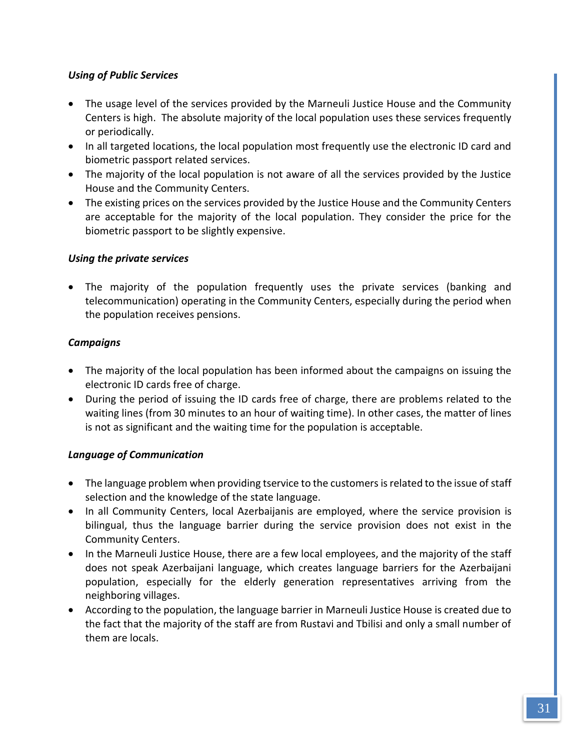# *Using of Public Services*

- The usage level of the services provided by the Marneuli Justice House and the Community Centers is high. The absolute majority of the local population uses these services frequently or periodically.
- In all targeted locations, the local population most frequently use the electronic ID card and biometric passport related services.
- The majority of the local population is not aware of all the services provided by the Justice House and the Community Centers.
- The existing prices on the services provided by the Justice House and the Community Centers are acceptable for the majority of the local population. They consider the price for the biometric passport to be slightly expensive.

# *Using the private services*

 The majority of the population frequently uses the private services (banking and telecommunication) operating in the Community Centers, especially during the period when the population receives pensions.

# *Campaigns*

- The majority of the local population has been informed about the campaigns on issuing the electronic ID cards free of charge.
- During the period of issuing the ID cards free of charge, there are problems related to the waiting lines (from 30 minutes to an hour of waiting time). In other cases, the matter of lines is not as significant and the waiting time for the population is acceptable.

# *Language of Communication*

- The language problem when providing tservice to the customers is related to the issue of staff selection and the knowledge of the state language.
- In all Community Centers, local Azerbaijanis are employed, where the service provision is bilingual, thus the language barrier during the service provision does not exist in the Community Centers.
- In the Marneuli Justice House, there are a few local employees, and the majority of the staff does not speak Azerbaijani language, which creates language barriers for the Azerbaijani population, especially for the elderly generation representatives arriving from the neighboring villages.
- According to the population, the language barrier in Marneuli Justice House is created due to the fact that the majority of the staff are from Rustavi and Tbilisi and only a small number of them are locals.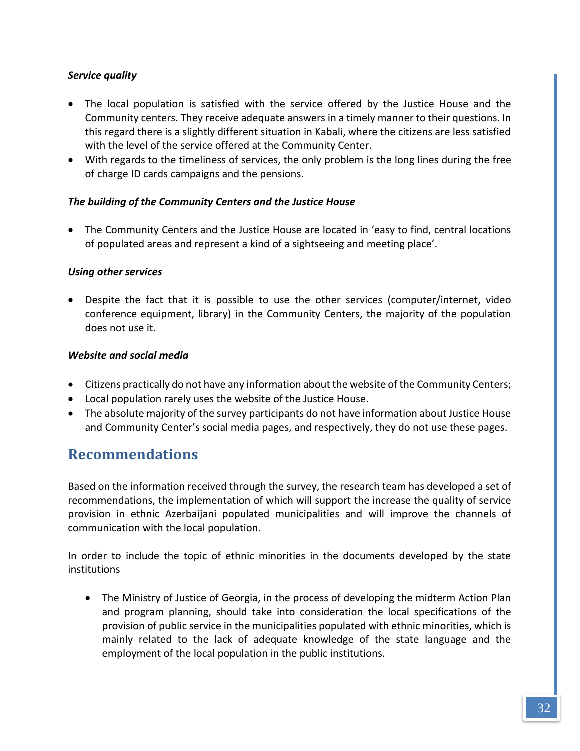# *Service quality*

- The local population is satisfied with the service offered by the Justice House and the Community centers. They receive adequate answers in a timely manner to their questions. In this regard there is a slightly different situation in Kabali, where the citizens are less satisfied with the level of the service offered at the Community Center.
- With regards to the timeliness of services, the only problem is the long lines during the free of charge ID cards campaigns and the pensions.

# *The building of the Community Centers and the Justice House*

 The Community Centers and the Justice House are located in 'easy to find, central locations of populated areas and represent a kind of a sightseeing and meeting place'.

# *Using other services*

 Despite the fact that it is possible to use the other services (computer/internet, video conference equipment, library) in the Community Centers, the majority of the population does not use it.

# *Website and social media*

- Citizens practically do not have any information about the website of the Community Centers;
- Local population rarely uses the website of the Justice House.
- The absolute majority of the survey participants do not have information about Justice House and Community Center's social media pages, and respectively, they do not use these pages.

# <span id="page-32-0"></span>**Recommendations**

Based on the information received through the survey, the research team has developed a set of recommendations, the implementation of which will support the increase the quality of service provision in ethnic Azerbaijani populated municipalities and will improve the channels of communication with the local population.

In order to include the topic of ethnic minorities in the documents developed by the state institutions

• The Ministry of Justice of Georgia, in the process of developing the midterm Action Plan and program planning, should take into consideration the local specifications of the provision of public service in the municipalities populated with ethnic minorities, which is mainly related to the lack of adequate knowledge of the state language and the employment of the local population in the public institutions.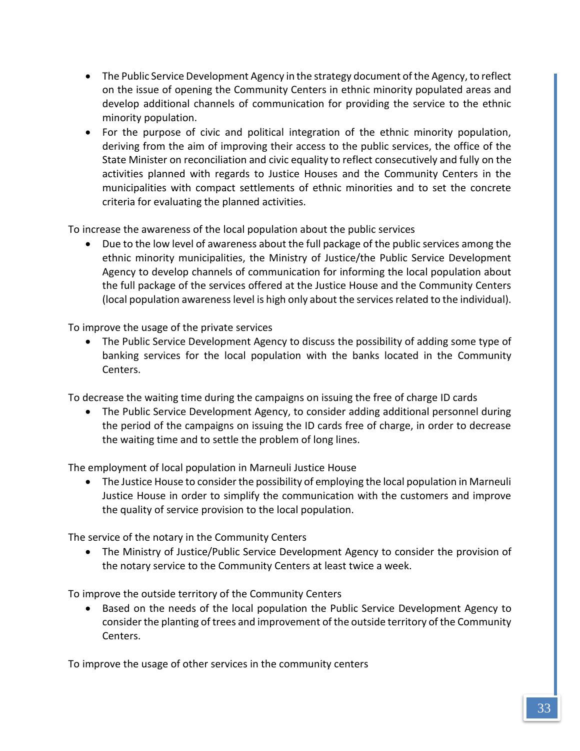- The Public Service Development Agency in the strategy document of the Agency, to reflect on the issue of opening the Community Centers in ethnic minority populated areas and develop additional channels of communication for providing the service to the ethnic minority population.
- For the purpose of civic and political integration of the ethnic minority population, deriving from the aim of improving their access to the public services, the office of the State Minister on reconciliation and civic equality to reflect consecutively and fully on the activities planned with regards to Justice Houses and the Community Centers in the municipalities with compact settlements of ethnic minorities and to set the concrete criteria for evaluating the planned activities.

To increase the awareness of the local population about the public services

 Due to the low level of awareness about the full package of the public services among the ethnic minority municipalities, the Ministry of Justice/the Public Service Development Agency to develop channels of communication for informing the local population about the full package of the services offered at the Justice House and the Community Centers (local population awareness level is high only about the services related to the individual).

To improve the usage of the private services

 The Public Service Development Agency to discuss the possibility of adding some type of banking services for the local population with the banks located in the Community Centers.

To decrease the waiting time during the campaigns on issuing the free of charge ID cards

• The Public Service Development Agency, to consider adding additional personnel during the period of the campaigns on issuing the ID cards free of charge, in order to decrease the waiting time and to settle the problem of long lines.

The employment of local population in Marneuli Justice House

• The Justice House to consider the possibility of employing the local population in Marneuli Justice House in order to simplify the communication with the customers and improve the quality of service provision to the local population.

The service of the notary in the Community Centers

 The Ministry of Justice/Public Service Development Agency to consider the provision of the notary service to the Community Centers at least twice a week.

To improve the outside territory of the Community Centers

 Based on the needs of the local population the Public Service Development Agency to consider the planting of trees and improvement of the outside territory of the Community Centers.

To improve the usage of other services in the community centers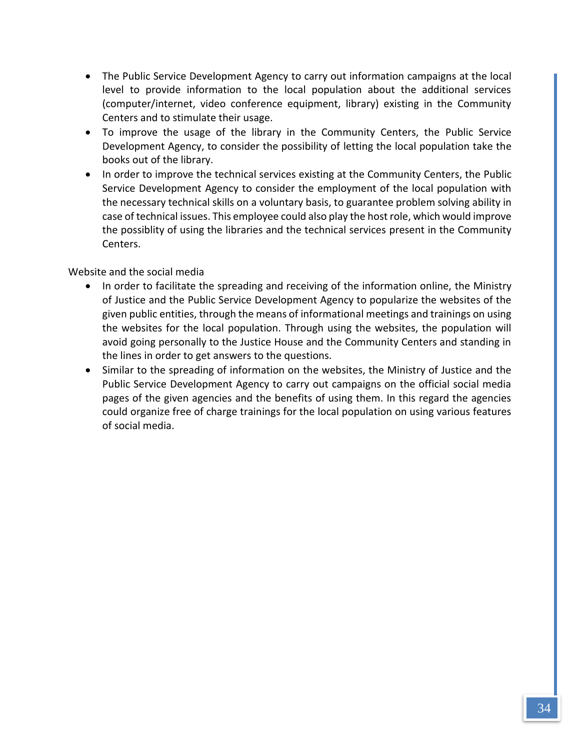- The Public Service Development Agency to carry out information campaigns at the local level to provide information to the local population about the additional services (computer/internet, video conference equipment, library) existing in the Community Centers and to stimulate their usage.
- To improve the usage of the library in the Community Centers, the Public Service Development Agency, to consider the possibility of letting the local population take the books out of the library.
- In order to improve the technical services existing at the Community Centers, the Public Service Development Agency to consider the employment of the local population with the necessary technical skills on a voluntary basis, to guarantee problem solving ability in case of technical issues. This employee could also play the host role, which would improve the possiblity of using the libraries and the technical services present in the Community Centers.

# Website and the social media

- In order to facilitate the spreading and receiving of the information online, the Ministry of Justice and the Public Service Development Agency to popularize the websites of the given public entities, through the means of informational meetings and trainings on using the websites for the local population. Through using the websites, the population will avoid going personally to the Justice House and the Community Centers and standing in the lines in order to get answers to the questions.
- Similar to the spreading of information on the websites, the Ministry of Justice and the Public Service Development Agency to carry out campaigns on the official social media pages of the given agencies and the benefits of using them. In this regard the agencies could organize free of charge trainings for the local population on using various features of social media.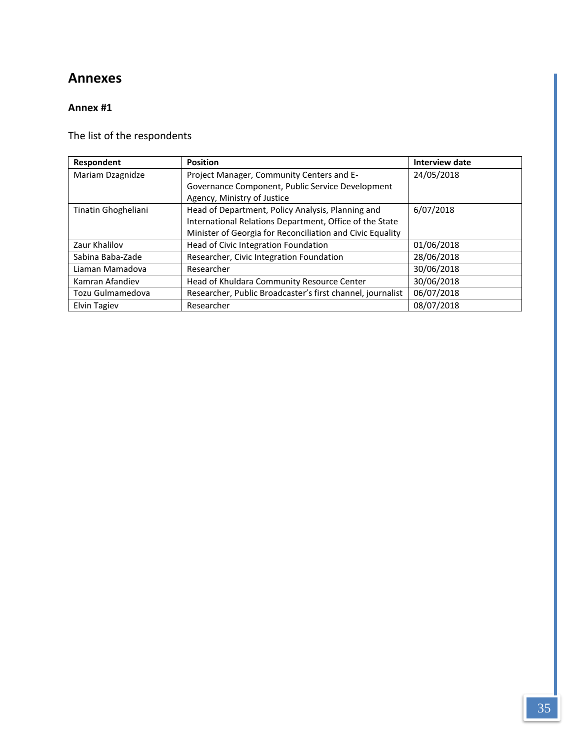# **Annexes**

# **Annex #1**

The list of the respondents

| Respondent          | <b>Position</b>                                            | <b>Interview date</b> |
|---------------------|------------------------------------------------------------|-----------------------|
| Mariam Dzagnidze    | Project Manager, Community Centers and E-                  | 24/05/2018            |
|                     | Governance Component, Public Service Development           |                       |
|                     | Agency, Ministry of Justice                                |                       |
| Tinatin Ghogheliani | Head of Department, Policy Analysis, Planning and          | 6/07/2018             |
|                     | International Relations Department, Office of the State    |                       |
|                     | Minister of Georgia for Reconciliation and Civic Equality  |                       |
| Zaur Khalilov       | Head of Civic Integration Foundation                       | 01/06/2018            |
| Sabina Baba-Zade    | Researcher, Civic Integration Foundation                   | 28/06/2018            |
| Liaman Mamadova     | Researcher                                                 | 30/06/2018            |
| Kamran Afandiev     | Head of Khuldara Community Resource Center                 | 30/06/2018            |
| Tozu Gulmamedova    | Researcher, Public Broadcaster's first channel, journalist | 06/07/2018            |
| <b>Elvin Tagiev</b> | Researcher                                                 | 08/07/2018            |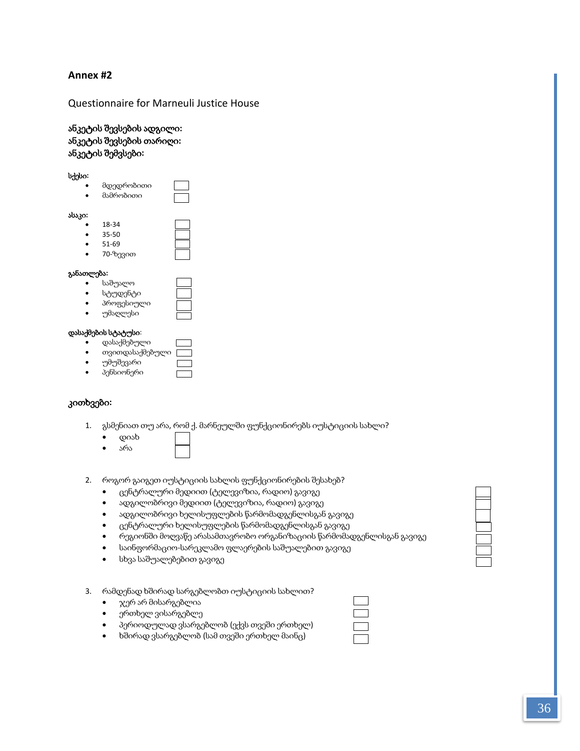#### **Annex #2**

#### Questionnaire for Marneuli Justice House

ანკეტის შევსების ადგილი**:**  ანკეტის შევსების თარიღი**:**  ანკეტის შემვსები**:** 

სქესი**:**

| ٠ | მდედრობითი |  |
|---|------------|--|
|   | მამრობითი  |  |
|   |            |  |

ასაკი**:**

| ٠         | 18-34 |  |
|-----------|-------|--|
| $\bullet$ | 35-50 |  |
| $\bullet$ | 51-69 |  |
|           |       |  |

70-ზევით

#### განათლება**:**

- საშუალო
- სტუდენტი
- პროფესიული
- უმაღლესი

#### დასაქმების სტატუსი:

- დასაქმებული
- თვითდასაქმებული
- უმუშევარი
- პენსიონერი

#### კითხვები**:**

- 1. გსმენიათ თუ არა, რომ ქ. მარნეულში ფუნქციონირებს იუსტიციის სახლი?
	- დიახ
	- არა
- 2. როგორ გაიგეთ იუსტიციის სახლის ფუნქციონირების შესახებ?
	- ცენტრალური მედიით (ტელევიზია, რადიო) გავიგე
	- ადგილობრივი მედიით (ტელევიზია, რადიო) გავიგე
	- ადგილობრივი ხელისუფლების წარმომადგენლისგან გავიგე
	- ცენტრალური ხელისუფლების წარმომადგენლისგან გავიგე
	- რეგიონში მოღვაწე არასამთავრობო ორგანიზაციის წარმომადგენლისგან გავიგე
	- საინფორმაციო-სარეკლამო ფლაერების საშუალებით გავიგე
	- სხვა საშუალებებით გავიგე
- 3. რამდენად ხშირად სარგებლობთ იუსტიციის სახლით?
	- ჯერ არ მისარგებლია
	- ერთხელ ვისარგებლე
	- პერიოდულად ვსარგებლობ (ექვს თვეში ერთხელ)
	- ხშირად ვსარგებლობ (სამ თვეში ერთხელ მაინც)

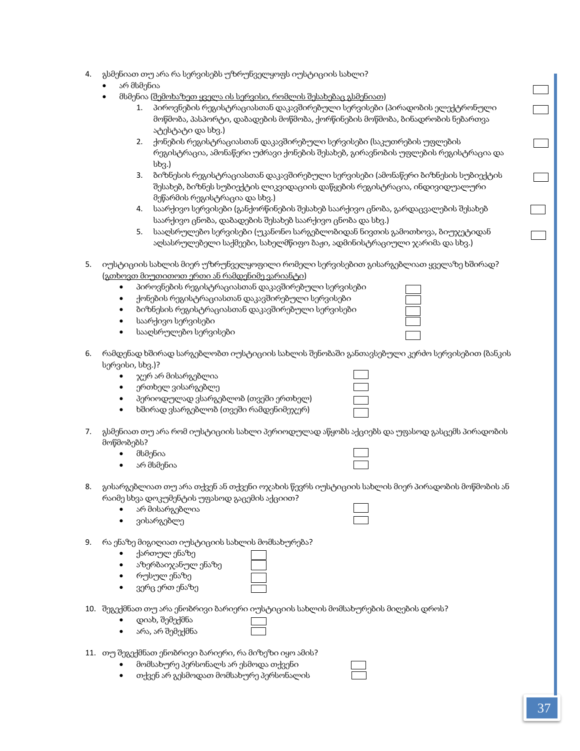- 4. გსმენიათ თუ არა რა სერვისებს უზრუნველყოფს იუსტიციის სახლი?
	- არ მსმენია
	- მსმენია (შემოხაზეთ ყველა ის სერვისი, რომლის შესახებაც გსმენიათ)
		- 1. პიროვნების რეგისტრაციასთან დაკავშირებული სერვისები (პირადობის ელექტრონული მოწმობა, პასპორტი, დაბადების მოწმობა, ქორწინების მოწმობა, ბინადრობის ნებართვა ატესტატი და სხვ.)
		- 2. ქონების რეგისტრაციასთან დაკავშირებული სერვისები (საკუთრების უფლების რეგისტრაცია, ამონაწერი უძრავი ქონების შესახებ, გირავნობის უფლების რეგისტრაცია და სხვ.)
		- 3. ბიზნესის რეგისტრაციასთან დაკავშირებული სერვისები (ამონაწერი ბიზნესის სუბიექტის შესახებ, ბიზნეს სუბიექტის ლიკვიდაციის დაწყების რეგისტრაცია, ინდივიდუალური მეწარმის რეგისტრაცია და სხვ.)
		- 4. საარქივო სერვისები (განქორწინების შესახებ საარქივო ცნობა, გარდაცვალების შესახებ საარქივო ცნობა, დაბადების შესახებ საარქივო ცნობა და სხვ.)
		- 5. სააღსრულებო სერვისები (უკანონო სარგებლობიდან ნივთის გამოთხოვა, ბიუჯეტიდან აღსასრულებელი საქმეები, სახელმწიფო ბაჟი, ადმინისტრაციული ჯარიმა და სხვ.)
- 5. იუსტიციის სახლის მიერ უზრუნველყოფილი რომელი სერვისებით გისარგებლიათ ყველაზე ხშირად? (გთხოვთ მიუთითოთ ერთი ან რამდენიმე ვარიანტი)
	- პიროვნების რეგისტრაციასთან დაკავშირებული სერვისები
	- ქონების რეგისტრაციასთან დაკავშირებული სერვისები
	- ბიზნესის რეგისტრაციასთან დაკავშირებული სერვისები
	- საარქივო სერვისები
	- სააღსრულებო სერვისები
- 6. რამდენად ხშირად სარგებლობთ იუსტიციის სახლის შენობაში განთავსებული კერძო სერვისებით (ბანკის სერვისი, სხვ.)?
	- ჯერ არ მისარგებლია
	- ერთხელ ვისარგებლე
	- პერიოდულად ვსარგებლობ (თვეში ერთხელ)
	- ხშირად ვსარგებლობ (თვეში რამდენიმეჯერ)
- 7. გსმენიათ თუ არა რომ იუსტიციის სახლი პერიოდულად აწყობს აქციებს და უფასოდ გასცემს პირადობის მოწმობებს?
	- მსმენია
	- არ მსმენია
- 8. გისარგებლიათ თუ არა თქვენ ან თქვენი ოჯახის წევრს იუსტიციის სახლის მიერ პირადობის მოწმობის ან
	- რაიმე სხვა დოკუმენტის უფასოდ გაცემის აქციით?
		- არ მისარგებლია
			- ვისარგებლე



- 9. რა ენაზე მიგიღიათ იუსტიციის სახლის მომსახურება?
	- ქართულ ენაზე
	- აზერბაიჯანულ ენაზე
	- რუსულ ენაზე
	- ვერც ერთ ენაზე
- 10. შეგექმნათ თუ არა ენობრივი ბარიერი იუსტიციის სახლის მომსახურების მიღების დროს?
	- დიახ, შემექმნა
	- არა, არ შემექმნა
- 11. თუ შეგექმნათ ენობრივი ბარიერი, რა მიზეზი იყო ამის?
	- მომსახურე პერსონალს არ ესმოდა თქვენი
	- თქვენ არ გესმოდათ მომსახურე პერსონალის



 $\overline{\phantom{0}}$ 

 $\Box$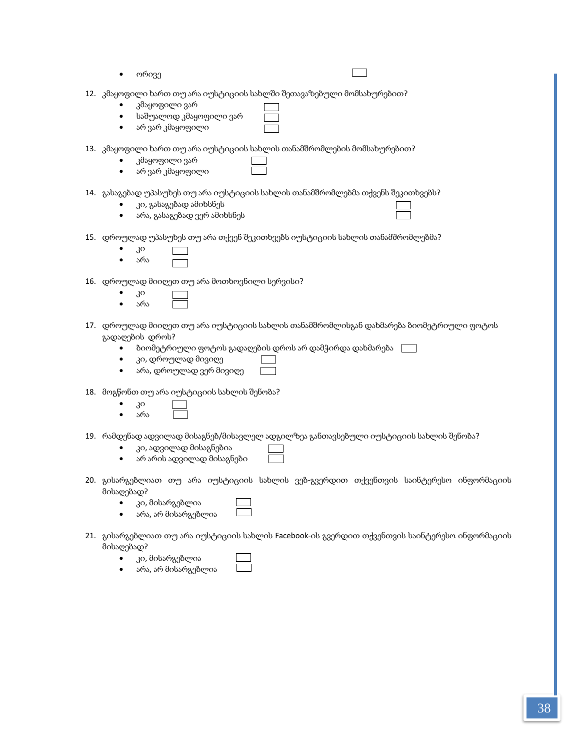| ორივე                                                                                                                                                                                                                |
|----------------------------------------------------------------------------------------------------------------------------------------------------------------------------------------------------------------------|
| 12. კმაყოფილი ხართ თუ არა იუსტიციის სახლში შეთავაზებული მომსახურებით?<br>კმაყოფილი ვარ<br>საშუალოდ კმაყოფილი ვარ<br>არ ვარ კმაყოფილი<br>٠                                                                            |
| 13. კმაყოფილი ხართ თუ არა იუსტიციის სახლის თანამშრომლების მომსახურებით?<br>კმაყოფილი ვარ<br>არ ვარ კმაყოფილი<br>٠                                                                                                    |
| 14. გასაგებად უპასუხეს თუ არა იუსტიციის სახლის თანამშრომლებმა თქვენს შეკითხვებს?<br>კი, გასაგებად ამიხსნეს<br>არა, გასაგებად ვერ ამიხსნეს<br>٠                                                                       |
| 15. დროულად უპასუხეს თუ არა თქვენ შეკითხვებს იუსტიციის სახლის თანამშრომლებმა?<br>3 <sup>o</sup><br>არა                                                                                                               |
| 16. დროულად მიიღეთ თუ არა მოთხოვნილი სერვისი?<br>3 <sup>o</sup><br>არა                                                                                                                                               |
| 17. დროულად მიიღეთ თუ არა იუსტიციის სახლის თანამშრომლისგან დახმარება ბიომეტრიული ფოტოს<br>გადაღების დროს?<br>ბიომეტრიული ფოტოს გადაღების დროს არ დამჭირდა დახმარება<br>კი, დროულად მივიღე<br>არა, დროულად ვერ მივიღე |
| 18. მოგწონთ თუ არა იუსტიციის სახლის შენობა?<br>30<br>არა                                                                                                                                                             |
| 19. რამდენად ადვილად მისაგნებ/მისავლელ ადგილზეა განთავსებული იუსტიციის სახლის შენობა?<br>კი, ადვილად მისაგნებია<br>არ არის ადვილად მისაგნები                                                                         |
| 20. გისარგებლიათ თუ არა იუსტიციის სახლის ვებ-გვერდით თქვენთვის საინტერესო ინფორმაციის<br>მისაღებად?<br>კი, მისარგებლია<br>არა, არ მისარგებლია                                                                        |
| 21. გისარგებლიათ თუ არა იუსტიციის სახლის Facebook-ის გვერდით თქვენთვის საინტერესო ინფორმაციის<br>მისაღებად?<br>კი, მისარგებლია<br>არა, არ მისარგებლია                                                                |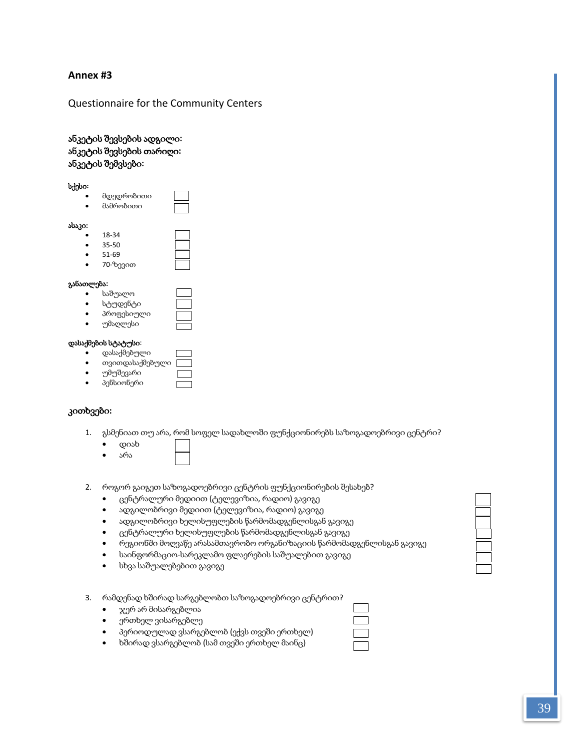#### **Annex #3**

#### Questionnaire for the Community Centers

#### ანკეტის შევსების ადგილი**:**  ანკეტის შევსების თარიღი**:**  ანკეტის შემვსები**:**

#### სქესი**:**

 მდედრობითი მამრობითი

# ასაკი**:**

| с |       |  |
|---|-------|--|
| ٠ | 18-34 |  |
| ٠ | 35-50 |  |
| ٠ | 51-69 |  |
|   |       |  |

70-ზევით

#### განათლება**:**

- საშუალო
- სტუდენტი
- პროფესიული
- უმაღლესი

#### დასაქმების სტატუსი:

- დასაქმებული
- თვითდასაქმებული
- უმუშევარი
- პენსიონერი

#### კითხვები**:**

- 1. გსმენიათ თუ არა, რომ სოფელ სადახლოში ფუნქციონირებს საზოგადოებრივი ცენტრი?
	- დიახ
	- არა
- 2. როგორ გაიგეთ საზოგადოებრივი ცენტრის ფუნქციონირების შესახებ?
	- ცენტრალური მედიით (ტელევიზია, რადიო) გავიგე
	- ადგილობრივი მედიით (ტელევიზია, რადიო) გავიგე
	- ადგილობრივი ხელისუფლების წარმომადგენლისგან გავიგე
	- ცენტრალური ხელისუფლების წარმომადგენლისგან გავიგე
	- რეგიონში მოღვაწე არასამთავრობო ორგანიზაციის წარმომადგენლისგან გავიგე
	- საინფორმაციო-სარეკლამო ფლაერების საშუალებით გავიგე
	- სხვა საშუალებებით გავიგე
- 3. რამდენად ხშირად სარგებლობთ საზოგადოებრივი ცენტრით?
	- ჯერ არ მისარგებლია
	- ერთხელ ვისარგებლე
	- პერიოდულად ვსარგებლობ (ექვს თვეში ერთხელ)
	- ხშირად ვსარგებლობ (სამ თვეში ერთხელ მაინც)

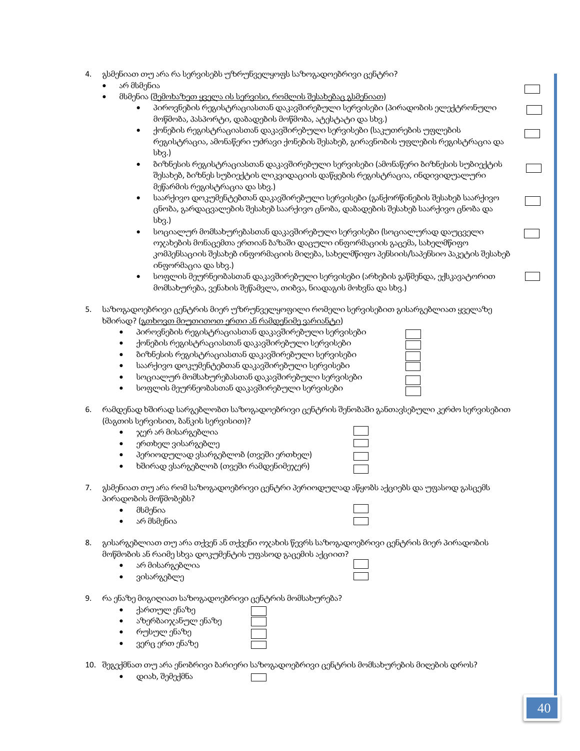|  |  | 4.  გსმენიათ თუ არა რა სერვისებს უზრუნველყოფს საზოგადოებრივი ცენტრი? _ |  |
|--|--|------------------------------------------------------------------------|--|
|--|--|------------------------------------------------------------------------|--|

- არ მსმენია
- მსმენია (შემოხაზეთ ყველა ის სერვისი, რომლის შესახებაც გსმენიათ)

| პიროვნების რეგისტრაციასთან დაკავშირებული სერვისები (პირადობის ელექტრონული |
|---------------------------------------------------------------------------|
| მოწმობა, პასპორტი, დაბადების მოწმობა, ატესტატი და სხვ.)                   |

- ქონების რეგისტრაციასთან დაკავშირებული სერვისები (საკუთრების უფლების რეგისტრაცია, ამონაწერი უძრავი ქონების შესახებ, გირავნობის უფლების რეგისტრაცია და სხვ.)
- ბიზნესის რეგისტრაციასთან დაკავშირებული სერვისები (ამონაწერი ბიზნესის სუბიექტის შესახებ, ბიზნეს სუბიექტის ლიკვიდაციის დაწყების რეგისტრაცია, ინდივიდუალური მეწარმის რეგისტრაცია და სხვ.)
- საარქივო დოკუმენტებთან დაკავშირებული სერვისები (განქორწინების შესახებ საარქივო ცნობა, გარდაცვალების შესახებ საარქივო ცნობა, დაბადების შესახებ საარქივო ცნობა და სხვ.)
- სოციალურ მომსახურებასთან დაკავშირებული სერვისები (სოციალურად დაუცველი ოჯახების მონაცემთა ერთიან ბაზაში დაცული ინფორმაციის გაცემა, სახელმწიფო კომპენსაციის შესახებ ინფორმაციის მიღება, სახელმწიფო პენსიის/საპენსიო პაკეტის შესახებ ინფორმაცია და სხვ.)
- სოფლის მეურნეობასთან დაკავშირებული სერვისები (არხების გაწმენდა, ექსკავატორით მომსახურება, ვენახის შეწამვლა, თიბვა, ნიადაგის მოხვნა და სხვ.)
- 5. საზოგადოებრივი ცენტრის მიერ უზრუნველყოფილი რომელი სერვისებით გისარგებლიათ ყველაზე ხშირად? (გთხოვთ მიუთითოთ ერთი ან რამდენიმე ვარიანტი)
	- პიროვნების რეგისტრაციასთან დაკავშირებული სერვისები
	- ქონების რეგისტრაციასთან დაკავშირებული სერვისები
	- ბიზნესის რეგისტრაციასთან დაკავშირებული სერვისები
	- საარქივო დოკუმენტებთან დაკავშირებული სერვისები
	- სოციალურ მომსახურებასთან დაკავშირებული სერვისები
	- სოფლის მეურნეობასთან დაკავშირებული სერვისები

| 6. რამდენად ხშირად სარგებლობთ საზოგადოებრივი ცენტრის შენობაში განთავსებული კერძო სერვისებით |
|---------------------------------------------------------------------------------------------|
| (მაგთის სერვისით, ბანკის სერვისით)?                                                         |

- ჯერ არ მისარგებლია
	- ერთხელ ვისარგებლე
- პერიოდულად ვსარგებლობ (თვეში ერთხელ) ხშირად ვსარგებლობ (თვეში რამდენიმეჯერ)
- 7. გსმენიათ თუ არა რომ საზოგადოებრივი ცენტრი პერიოდულად აწყობს აქციებს და უფასოდ გასცემს პირადობის მოწმობებს?
	- მსმენია
	- არ მსმენია

| 8. — გისარგებლიათ თუ არა თქვენ ან თქვენი ოჯახის წევრს საზოგადოებრივი ცენტრის მიერ პირადობის |
|---------------------------------------------------------------------------------------------|
| მოწმობის ან რაიმე სხვა დოკუმენტის უფასოდ გაცემის აქციით?                                    |

- არ მისარგებლია
- ვისარგებლე
- 9. რა ენაზე მიგიღიათ საზოგადოებრივი ცენტრის მომსახურება?
	- ქართულ ენაზე
		- აზერბაიჯანულ ენაზე
	- რუსულ ენაზე
	- ვერც ერთ ენაზე
- 10. შეგექმნათ თუ არა ენობრივი ბარიერი საზოგადოებრივი ცენტრის მომსახურების მიღების დროს?
	- დიახ, შემექმნა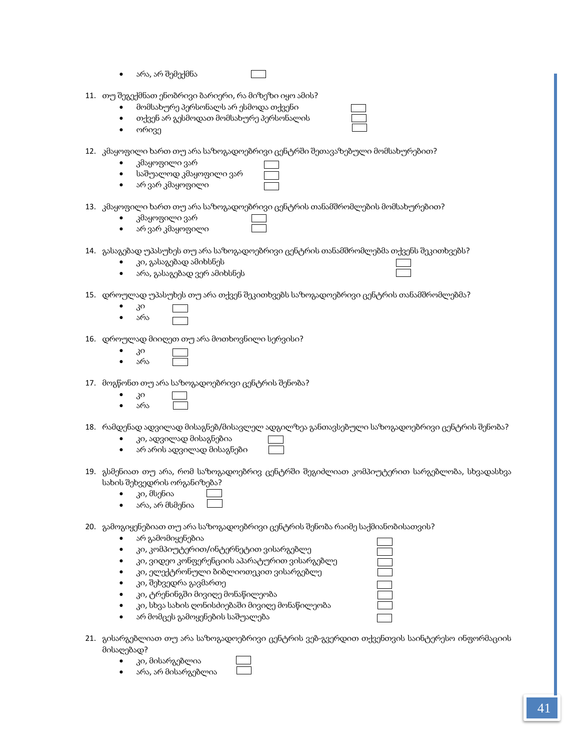არა, არ შემექმნა

|  |  |  |  | 11.   თუ შეგექმნათ ენობრივი ბარიერი, რა მიზეზი იყო ამის? |
|--|--|--|--|----------------------------------------------------------|
|--|--|--|--|----------------------------------------------------------|

- მომსახურე პერსონალს არ ესმოდა თქვენი
- თქვენ არ გესმოდათ მომსახურე პერსონალის
- ორივე
- 12. კმაყოფილი ხართ თუ არა საზოგადოებრივი ცენტრში შეთავაზებული მომსახურებით?
	- კმაყოფილი ვარ
	- საშუალოდ კმაყოფილი ვარ
	- არ ვარ კმაყოფილი
- 
- 13. კმაყოფილი ხართ თუ არა საზოგადოებრივი ცენტრის თანამშრომლების მომსახურებით?
	- კმაყოფილი ვარ
		- არ ვარ კმაყოფილი
- 14. გასაგებად უპასუხეს თუ არა საზოგადოებრივი ცენტრის თანამშრომლებმა თქვენს შეკითხვებს?
	- კი, გასაგებად ამიხსნეს
	- არა, გასაგებად ვერ ამიხსნეს

15. დროულად უპასუხეს თუ არა თქვენ შეკითხვებს საზოგადოებრივი ცენტრის თანამშრომლებმა?

- კი არა
- 16. დროულად მიიღეთ თუ არა მოთხოვნილი სერვისი?
	- კი არა
- 17. მოგწონთ თუ არა საზოგადოებრივი ცენტრის შენობა?
	- კი
	- არა

18. რამდენად ადვილად მისაგნებ/მისავლელ ადგილზეა განთავსებული საზოგადოებრივი ცენტრის შენობა?

- კი, ადვილად მისაგნებია
- არ არის ადვილად მისაგნები
- 19. გსმენიათ თუ არა, რომ საზოგადოებრივ ცენტრში შეგიძლიათ კომპიუტერით სარგებლობა, სხვადასხვა სახის შეხვედრის ორგანიზება?
	- კი, მსენია
	- არა, არ მსმენია
- 20. გამოგიყენებიათ თუ არა საზოგადოებრივი ცენტრის შენობა რაიმე საქმიანობისათვის?
	- არ გამომიყენებია
	- კი, კომპიუტერით/ინტერნეტით ვისარგებლე
	- კი, ვიდეო კონფერენციის აპარატურით ვისარგებლე
	- კი, ელექტრონული ბიბლიოთეკით ვისარგებლე
	- კი, შეხვედრა გავმართე
	- კი, ტრენინგში მივიღე მონაწილეობა
	- კი, სხვა სახის ღონისძიებაში მივიღე მონაწილეობა
	- არ მომცეს გამოყენების საშუალება
- 21. გისარგებლიათ თუ არა საზოგადოებრივი ცენტრის ვებ-გვერდით თქვენთვის საინტერესო ინფორმაციის მისაღებად?
	- კი, მისარგებლია
	- არა, არ მისარგებლია